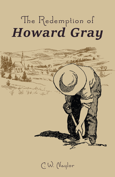# The Redemption of **Howard Gray**



C.W. Naylor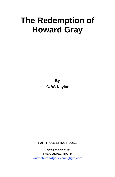# **The Redemption of Howard Gray**

**By C. W. Naylor**

**FAITH PUBLISHING HOUSE**

*Digitally Published by*  **THE GOSPEL TRUTH <www.churchofgodeveninglight.com>**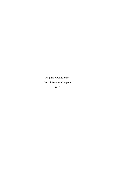Originally Published by Gospel Trumpet Company 1925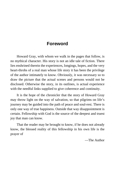# **Foreword**

Howard Gray, with whom we walk in the pages that follow, is no mythical character. His story is not an idle tale of fiction. There lies enshrined therein the experiences, longings, hopes, and the very heart-throbs of a real man whose life story it has been the privilege of the author intimately to know. Obviously, it was necessary so to draw the picture that the actual scenes and persons would not be disclosed. Otherwise the story, in its outlines, is actual experience with the needful links supplied to give coherence and continuity.

It is the hope of the chronicler that the story of Howard Gray may throw light on the way of salvation, so that pilgrims on life's journey may be guided into the path of peace and soul-rest. There is only one way of true happiness. Outside that way disappointment is certain. Fellowship with God is the source of the deepest and truest joy that man can know.

That the reader may be brought to know, if he does not already know, the blessed reality of this fellowship in his own life is the prayer of

—The Author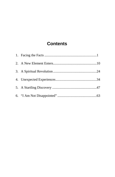# **Contents**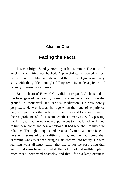#### <span id="page-6-0"></span>**Chapter One**

# **Facing the Facts**

It was a bright Sunday morning in late summer. The noise of week-day activities was hushed. A peaceful calm seemed to rest everywhere. The blue sky above and the luxuriant green on every side, with the golden sunlight falling over it, made a picture of serenity. Nature was in peace.

But the heart of Howard Gray did not respond. As he stood at the front gate of his country home, his eyes were fixed upon the ground in thoughtful and serious meditation. He was sorely perplexed. He was just at that age when the hand of experience begins to pull back the curtains of the future and to reveal some of the real problems of life. His nineteenth summer was swiftly passing by. This year had brought new experiences to him. It had awakened in him new hopes and new ambitions. It had brought him into new relations. The high thoughts and dreams of youth had come face to face with some of the realities of life, and he had found that dreaming was easier than bringing his dreams into reality. He was learning what all must learn—that life is not the easy thing that youthful dreams have pictured it. He had found that well-laid plans often meet unexpected obstacles, and that life to a large extent is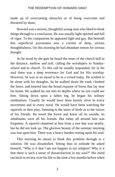made up of overcoming obstacles or of being overcome and thwarted by them.

Howard was a serious, thoughtful young man who liked to think things through to a conclusion. He was usually light-spirited and full of vigor. To his companions he appeared light and gay. But beneath this superficial joyousness was a current of deep, serious thoughtfulness. On this morning he had abundant reason for serious thought.

As he stood by the gate he heard the notes of the church bell in the distance, mellow and soft, calling the worshipers to Sundayschool and to church. To this call he usually responded, for in his soul there was a deep reverence for God and for His worship. However, he was in no mood to be in a crowd today. He wished to be alone with his thoughts. So he walked down the road, climbed the fence, and entered into the broad expanse of forest that lay near his home. He walked far out into its depths where no eye could see him. Sitting down upon a fallen log, he began his solitary meditations. Usually he would have been keenly alive to every movement and to every noise. He would have been watching the squirrels in their play, listening to the notes of birds as to the voices of his friends. He loved the forest and knew all its sounds; its inhabitants were all his friends. But today all around him was forgotten. A squirrel chattered at him from a tree that was nearby, but he did not look up. The glorious beauty of the summer morning was lost upon him. There was a heavy burden resting upon his soul.

This morning he meant to think this problem through to a solution. He was dissatisfied. Sitting thus in solitude he asked himself, "Why is it that I am not happier in my religion? Why is it that there is such a sense of dissatisfaction in my soul?" His mind ran back in review over his life to the time a few months before when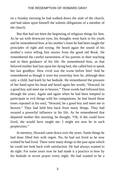on a Sunday morning he had walked down the aisle of the church, and had taken upon himself the solemn obligations of a member of the church.

But that had not been the beginning of religious things for him. As he sat with downcast eyes, his thoughts went back to his youth and he remembered how at his mother's knee he had been taught the principles of right and wrong. He heard again the sound of his mother's voice telling him stories from the good old Book. He remembered the careful earnestness of his parents in their teaching and in their guidance of his life. He remembered how, as that beloved mother had lain upon her dying bed, she called him to speak her last goodbye. How vivid was the scene before him! And he remembered as though it were but yesterday how he, although then only a child, had knelt by her bedside. He remembered the pressure of her hand upon his head and heard again her words, "Howard, be a good boy and meet me in heaven." Those words had followed him through the years. Again and again when he had been tempted to participate in evil things with his companions, he had heard those tones repeated in his soul, "Howard, be a good boy and meet me in heaven." They had held him back from many things. They had swayed a powerful influence in his life. As he remembered that departed mother this morning, he thought, "Oh, if she could have lived, she would have taught me. I might not now be in such perplexities."

In memory, Howard came down over the years. Some things he had done filled him with regret. No, he had not lived as he now wished he had lived. There were many things in the past upon which he could not look back with satisfaction. He had always wanted to do right. For some years now he had made it a practice to bow by his bedside in secret prayer every night. He had wanted to be a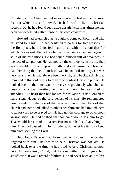Christian, a true Christian, but in some way he had seemed to miss that for which his soul craved. He had tried to live a Christian secretly, but he had found such a life unsatisfactory. At times he had been overwhelmed with a sense of his own cowardice.

Howard had often felt that he ought to come out boldly and take his stand for Christ. He had hesitated to do this for two reasons. In the first place, he did not feel that he had within his soul that for which he yearned. He had felt himself overcome again and again in spite of his resolutions. He had found himself full of weakness in the face of temptation. He had not felt the confidence in his life that would enable him to step out boldly and call himself a Christian. Another thing that held him back was his natural timidity. He was very sensitive. He had always been very shy and backward. He had trembled to think of trying to pray or to confess Christ in public. He looked back to the time two or three years previously when he had been in a revival meeting held in the church he was used to attending. His heart then had longed for salvation. It had longed to have a knowledge of the forgiveness of its sins. He remembered how, standing in the rear of the crowded church, members of that church had come and talked to others near him and had invited them to go forward to be prayed for. He had not the courage to go without an invitation. He had wished that someone would ask him to go. That would have made it easier. But no one had said anything to him. They had passed him by for others. So he let his timidity keep him from seeking the Lord.

But Howard's soul had been touched by an influence that lingered with him. That desire to be a Christian was not lost. He looked back over the time he had tried to be a Christian without publicly confessing Christ, but he saw little in it to give him satisfaction. It was a record of failure. He had never been able to live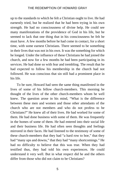up to the standards to which he felt a Christian ought to live. He had earnestly tried, but he realized that he had been trying in his own strength. He had no consciousness of divine help. He could see many manifestations of the providence of God in his life, but he seemed to lack that one thing that in his consciousness he felt he must have. A few months before he had come in contact, for a short time, with some earnest Christians. There seemed to be something in their lives that was not in his own. It was the something for which he longed. Under the influence of these Christians he had joined the church, and now for a few months he had been participating in its services. He had done so with fear and trembling. The result that he had expected to follow his membership in the church had not followed. He was conscious that sin still had a prominent place in his life.

To be sure, Howard had seen the same thing manifested in the lives of some of his fellow church-members. This morning he thought of the lives of the other church-members whom he well knew. The question arose in his mind, "What is the difference between these men and women and those other attendants of the church who are not members and who do not profess to be Christians?" He knew all of their lives. He had worked for some of them. He had done business with some of them. He was frequently in the homes of some of them. He had entered into their social life and their business life. He had often seen thoughts and feelings mirrored in their faces. He had listened to the testimony of some of these church-members that they had "a hard row to hoe," that they had "many ups and downs," that they had "many shortcomings." He had no difficulty to believe that this was true. When they had testified thus, they had told his own experiences. He could understand it very well. But in what respect did he and the others differ from those who did not claim to be Christians?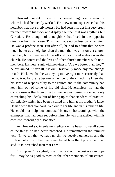Howard thought of one of his nearest neighbors, a man for whom he had frequently worked. He knew from experience that this neighbor was not strictly honest. He had seen him act in a very cruel manner toward his stock and display a temper that was anything but Christian. He thought of a neighbor that lived in the opposite direction from his house. This man made no profession of religion. He was a profane man. But after all, he had to admit that he was much better as a neighbor than the man that was not only a church member, but a member of the official board and a deacon in the church. He contrasted the lives of other church members with nonmembers. His heart sank with heaviness. "Are we better than they?" he exclaimed. "After all, has our Christianity made any real change in us?" He knew that he was trying to live right more earnestly than he had tried before he became a member of the church. He knew that his sense of responsibility to the church and to the community had kept him out of some of his old sins. Nevertheless, he had the consciousness that from time to time he was coming short, not only of reaching his ideals, but of living up to that standard of practical Christianity which had been instilled into him at his mother's knee. He had seen that standard lived out in her life and in his father's life. He could not help but contrast his own shortcomings with the examples that had been set before him. He was dissatisfied with his own life, thoroughly dissatisfied.

As Howard sat in solemn meditation, he began to recall some of the things he had heard preached. He remembered the familiar text, "If we say that we have no sin, we deceive ourselves, and the truth is not in us." Then he remembered how the Apostle Paul had said, "Oh, wretched man that I am."

"I suppose," he sighed, "that that is about the best we can hope for. I may be as good as most of the other members of our church.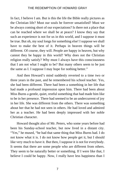In fact, I believe I am. But is this the life the Bible really pictures as the Christian life? Must our souls be forever unsatisfied? Must we be always coming short of our expectations? Is there not a place that can be reached where we shall be at peace? I know they say that such an experience is not for us in this world, and I suppose it must be true. But oh, my soul longs for something else! I suppose we shall have to make the best of it. Perhaps in heaven things will be different. Of course, they will. People are happy in heaven, but why cannot they be happy in this world? Why does not the Christian religion really satisfy? Why must I always have this consciousness that I am not what I ought to be? But many others seem to be just the same as I. I suppose I may hope for nothing better."

And then Howard's mind suddenly reverted to a time two or three years in the past, and he remembered his school teacher. Yes, she had been different. There had been a something in her life that had made a profound impression upon him. There had been about Miss Burns a gentle, quiet, restful something that had made him like to be in her presence. There had seemed to be an undercurrent of joy in her life. She was different from the others. There was something about her that he had not seen in others. He had loved and admired her as a teacher. He had been deeply impressed with her noble Christian character.

Howard thought also of Mr. Peters, who some years before had been his Sunday-school teacher, but now lived in a distant city. "Yes," he mused, "he had that same thing that Miss Burns had. I do not know what it is. I do not know how people get it, but I should like very much to have it. But then, I suppose it is not for everybody. It seems that there are some people who are different from others. They seem to be naturally better or something. If I were like that, I believe I could be happy. Now, I really have less happiness than I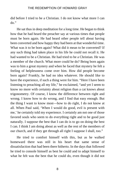did before I tried to be a Christian. I do not know what more I can  $d\alpha$ "

He sat thus in deep meditation for a long time. He began to think how that he had heard the preacher say at various times that people must be born again. He had heard other people tell about having been converted and how happy they had been at that wonderful time. What was it to be born again? What did it mean to be converted? If any such thing had taken place in his life he could not recall it. He had wanted to be a Christian. He had tried to be a Christian. He was a member of the church. What more could he do? Being born again was to him a great mystery and when he faced that mystery he felt a feeling of helplessness come over him. How did people become born again? Frankly, he had no idea whatever. He should like to have the experience, if such a thing were for him. "Here I have been listening to preaching all my life," he exclaimed, "and yet I seem to know no more with certainty about religion than a cat knows about trigonometry. Of course, I know the difference between right and wrong. I know how to do wrong, and I find that easy enough. But the thing I want to know most—how to do right, I do not know at all. When Paul said, 'When I would do good, evil is present with me,' he certainly told my experience. I certainly am not one of those favored souls who seem to do everything right and to be good just naturally. I suppose the best that I can do is to go on doing the best I can. I think I am doing about as well as the rest of the members of our church, and if they get through all right I suppose I shall, too."

He tried to comfort himself with this, but as he walked homeward there was still in his heart that same sense of dissatisfaction that had been there hitherto. In the days that followed he tried to console himself as best he could and to adapt himself to what he felt was the best that he could do, even though it did not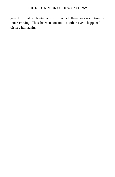give him that soul-satisfaction for which there was a continuous inner craving. Thus he went on until another event happened to disturb him again.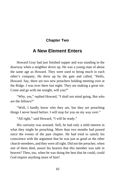#### **Chapter Two**

# <span id="page-15-0"></span>**A New Element Enters**

Howard Gray had just finished supper and was standing in the doorway when a neighbor drove up. He was a young man of about the same age as Howard. They were used to being much in each other's company. He drew up by the gate and called, "Hello, Howard. Say, there are two new preachers holding meeting over at the Ridge. I was over there last night. They are making a great stir. Come and go with me tonight, will you?"

"Why, yes," replied Howard, "I shall not mind going. But who are the fellows?"

"Well, I hardly know who they are, but they are preaching things I never heard before. I will stop for you on my way over."

"All right," said Howard, "I will be ready."

His curiosity was aroused. Still, he had only a mild interest in what they might be preaching. More than two months had passed since the events of the past chapter. He had tried to satisfy his conscience with the argument that he was just as good as the other church-members, and they were all right. Did not the preacher, when one of them died, assure his hearers that this member was safe in heaven? Then, too, when he was doing the best that he could, could God require anything more of him?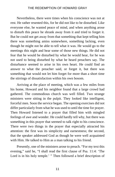Nevertheless, there were times when his conscience was not at rest. He rather resented this, for he did not like to be disturbed. Like everyone else, he wanted peace of mind, and when anything arose to disturb this peace he shrank away from it and tried to forget it. But he could not get away from that something that kept telling him there was something amiss somewhere, something lacking, even though he might not be able to tell what it was. He would go to the meetings this night and hear some of those new things. He did not fear that he would be disturbed by what he would hear, for he was not used to being disturbed by what he heard preachers say. The disturbance seemed to arise in his own heart. He could find an answer to what the preacher said, or forget it, but there was something that would not let him forget for more than a short time the stirrings of dissatisfaction within his own bosom.

Arriving at the place of meeting, which was a few miles from his home, Howard and his neighbor found that a large crowd had gathered. The commodious church was well filled. Two strange ministers were sitting in the pulpit. They looked like intelligent, forceful men. Soon the service began. The opening exercises did not differ particularly from what he was used to until the time for prayer. Then Howard listened to a prayer that filled him with mingled feelings of awe and wonder. He could hardly tell why, but there was something in this prayer that seemed to talk right to his conscience. There were two things in the prayer that especially attracted his attention: the first was its simplicity and earnestness; the second, that the speaker addressed God as though he were well acquainted with Him. He talked to Him as a man talking to his friend.

Presently, one of the ministers arose to preach. "For my text this evening," said he, "I shall read the first clause of Psa. 11:4: 'The Lord is in his holy temple.' " Then followed a brief description of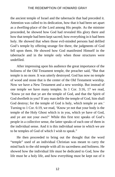the ancient temple of Israel and the tabernacle that had preceded it. Attention was called to its dedication, how that it had been set apart as a dwelling-place of the Lord among His people. As the minister proceeded, he showed how God had revealed His glory there and how that temple had been kept sacred; how everything in it had been holy. He showed that when those evil-minded persons had defiled God's temple by offering strange fire there, the judgments of God fell upon them. He showed how God manifested Himself in the tabernacle and in the temple only when those structures were undefiled.

After impressing upon his audience the great importance of the holiness of the Old Testament temple, the preacher said, "But that temple is no more. It was utterly destroyed. God has now no temple of wood and stone that is the center of the Old Testament worship. Now we have a New Testament and a new worship. But instead of one temple we have many temples. In 1 Cor. 3:16, 17 we read, 'Know ye not that ye are the temple of God, and that the Spirit of God dwelleth in you? If any man defile the temple of God, him shall God destroy; for the temple of God is holy, which temple ye are.' Turning to 1 Cor. 6:19, we read, 'Know ye not that your body is the temple of the Holy Ghost which is in you, which ye have of God, and ye are not your own?' While this first text speaks of God's people in a collective sense, the latter speaks of each one of them in the individual sense. And it is this individual sense in which we are to be temples of God of which I wish to speak."

He then proceeded to bring out the thought that the word "temple" used of an individual Christian was meant to carry the mind back to the old temple with all its sacredness and holiness. He showed how the individual life must be dedicated to God, how the life must be a holy life, and how everything must be kept out of it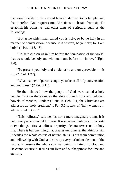that would defile it. He showed how sin defiles God's temple, and that therefore God requires true Christians to abstain from sin. To establish his point he read other texts of Scripture, such as the following:

"But as he which hath called you is holy, so be ye holy in all manner of conversation; because it is written, be ye holy; for I am holy" (1 Pet. 1:15, 16).

"He hath chosen us in him before the foundation of the world, that we should be holy and without blame before him in love" (Eph. 1:4).

"To present you holy and unblamable and unreprovable in his sight" (Col. 1:22).

"What manner of persons ought ye to be in all holy conversation and godliness" (2 Pet. 3:11).

He then showed how the people of God were called a holy people: "Put on therefore, as the elect of God, holy and beloved, bowels of mercies, kindness," etc. In Heb. 3:1, the Christians are addressed as "holy brethren." 1 Pet. 3:5 speaks of "holy women . . . who trusted in God."

"This holiness," said he, "is not a mere imaginary thing. It is not merely a ceremonial holiness. It is an actual holiness. It consists of two things—first, a holiness or purity of character; second, a holy life. There is but one thing that creates unholiness; that thing is sin. It defiles the whole course of nature, shuts us out from communion and fellowship with God, and stirs up every turbulent element of the nature. It poisons the whole spiritual being, is hateful to God, and He cannot excuse it. It ruins our lives and our happiness for time and eternity.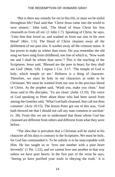"But is there any remedy for sin in this life, or must we be sinful throughout life? Paul said that 'Christ Jesus came into the world to save sinners.' John said, 'The blood of Jesus Christ his Son cleanseth us from all sin' (1 John 1:7). Speaking of Christ, he says, 'Unto him that loved us, and washed us from our sins in his own blood' (Rev. 1:5). The blood of Christ cleanses away all the defilement of our past sins. It washes away all the crimson stains. It has power to make us whiter than snow. Do you remember the old song we have sung from childhood, one line of which is, 'Now wash me and I shall be whiter than snow'? This is the teaching of the Scriptures. Jesus said, 'Blessed are the pure in heart; for they shall see God' (Matt. 5:8). I repeat 1 Cor. 3:17: 'The temple of God is holy, which temple ye are.' Holiness is a thing of character. Therefore, we must be holy in our characters in order to be Christians. We must be washed from our sins in the precious blood of Christ. As the prophet said, 'Wash you, make you clean.' And Jesus said to His disciples, 'Ye are clean' (John 13:10). The voice of God speaking to Peter about those who had been saved from among the Gentiles said, 'What God hath cleansed, that call not thou common' (Acts 10:15). The lesson Peter got out of this was, 'God hath showed me that I should not call any man common or unclean' (v. 28). From this we are to understand that those whom God has cleansed are different from others and different from what they were before.

"The idea that is prevalent that a Christian will be sinful in his character all his days is contrary to the Scriptures. We must be holy, for God has commanded it. To be unholy is to be unacceptable with Him. He has taught us to 'love one another with a pure heart fervently' (1 Pet. 1:22), and we cannot love one another in that way unless we have pure hearts. In the first part of the verse he says, 'Seeing ye have purified your souls in obeying the truth.' It is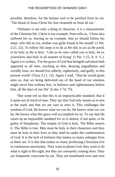possible, therefore, for the human soul to be purified from its sin. 'The blood of Jesus Christ his Son cleanseth us from all sin.'

"Holiness is not only a thing of character, it is a characteristic of the Christian life. Christ is our example. Peter tells us, 'Christ also suffered for us, leaving us an example, that ye should follow his steps: who did no sin, neither was guile found in his mouth' (1 Pet. 2:21, 22). To follow His steps is to do as He did, to act as He acted, to be holy as He is holy. 'Like as he who called you is holy, be ye yourselves also holy in all manner of living' (1 Pet. 1:15, A. S. V.). Again it is written, 'For the grace of God that bringeth salvation hath appeared to all men, teaching us that, denying ungodliness and worldly lusts, we should live soberly, righteously, and godly, in this present world' (Titus 2:11, 12). Again I read, 'That he would grant unto us, that we being delivered out of the hand of our enemies might serve him without fear, in holiness and righteousness before him, all the days of our life' (Luke 1:74, 75).

"But some tell us that this is an impracticable standard; that it is quite out of reach of man. They say that God only means us to aim at the mark and that we are sure to miss it. This challenges the wisdom of God. He knows what we can do; He knows what we can be; He knows what His grace will accomplish for us. To say that He raises up an impossible standard for us is almost, if not quite, to be guilty of blasphemy. The temple of God is holy. The Bible asserts it. The Bible is true. Men must be holy in their characters and they must be holy in their lives or they shall be under the condemnation of God. It is the lack of holiness that makes so many unhappy lives as there are. It is this that makes so many professing Christians live in continuous uncertainty. They want to please God, they want to do what is right in His sight, but they are constantly coming short. They are frequently overcome by sin. They are humiliated over and over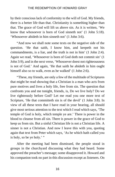by their conscious lack of conformity to the will of God. My friends, there is a better life than that. Christianity is something higher than that. The grace of God will lift us above sin. As it is written, 'We know that whosoever is born of God sinneth not' (1 John 5:18). 'Whosoever abideth in him sinneth not' (1 John 3:6).

"And now we shall note some texts on the negative side of the question. 'He that saith, I know him, and keepeth not his commandments, is a liar, and the truth is not in him' (1 John 2:4). Again we read, 'Whosoever is born of God doth not commit sin' (1 John 3:9), and in the next verse, 'Whosoever doest not righteousness is not of God.' And again, 'He that saith he abideth in him ought himself also so to walk, even as he walked' (1 John 2:6).

"These, my friends, are only a few of the multitude of Scriptures that might be read showing that a Christian is a man who acts from pure motives and lives a holy life, free from sin. The question that confronts you and me tonight, friends, is, Do we live holy? Do we live righteously before God? Let me read you one more text of Scripture, 'He that committeth sin is of the devil' (1 John 3:8). In view of all these texts that I have read in your hearing, all should give most serious attention to the text which I read which says, 'The temple of God is holy, which temple ye are.' There is power in the blood to cleanse from all sin. There is power in the grace of God to keep us from sin. But a sinful Christian life is not a Christian life. A sinner is not a Christian. And now I leave this with you, quoting again that text from Peter which says, 'As he which hath called you is holy, so be ye holy.' "

After the meeting had been dismissed, the people stood in groups in the churchyard discussing what they had heard. Some approved the preacher's message; some disapproved it. Howard and his companion took no part in this discussion except as listeners. On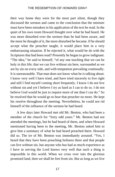their way home they were for the most part silent, though they discussed the sermon and came to the conclusion that the minister must have been mistaken in his application of the text he read. In the quiet of his own room Howard thought over what he had heard. He was more disturbed over the sermon than he had been aware, and the more he thought of it, the more disturbed he became. If he should accept what the preacher taught, it would place him in a very embarrassing situation. If he rejected it, what would he do with the Scriptures that had been read? Presently he began to grow indignant. "The idea," he said to himself, "of any one teaching that we can be holy in this life; that we can live without sin here, surrounded as we are by sin on every side, and with temptation prevailing continually. It is unreasonable. That man does not know what he is talking about. I know very well I have tried, and have tried sincerely to live right and still I find myself coming short frequently. I know I do not live without sin and yet I believe I try as hard as I can to do so. I do not believe God would be just to require more of me than I can do." So he resolved that he would go to hear that preacher no more. He kept his resolve throughout the meeting. Nevertheless, he could not rid himself of the influence of the sermon he had heard.

A few days later Howard met old Mr. Benton, who had been a member of the church for "forty odd years." Mr. Benton had not attended the meetings, but he had heard of them, and when Howard mentioned having been to the meeting, Mr. Benton asked him to give him a summary of what he had heard preached there. Howard did so. The ire of Mr. Benton was immediately aroused. "Yes, I heard that they have been preaching holiness there and that people can live without sin, but anyone who has had as much experience as I have in serving the Lord knows very well that such a thing is impossible in this world. When we cross over into the glorious promised land, then we shall be free from sin. But as long as we live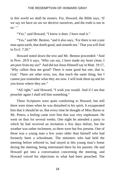in this world we shall be sinners. For, Howard, the Bible says, 'If we say we have no sin we deceive ourselves, and the truth is not in  $\mathrm{us}$ .''

"Yes," said Howard, "I know it does. I have read it."

"Yes," said Mr. Benton, "and it also says, 'For there is not a just man upon earth, that doeth good, and sinneth not.' That you will find in Eccl. 7:20."

Howard noted down the text and Mr. Benton proceeded: "And in Prov. 20:9 it says, 'Who can say, I have made my heart clean, I am pure from my sin?' And did not Jesus Himself say in Matt. 19:17, 'Why callest thou me good? There is none good but one, that is, God.' There are other texts, too, that teach the same thing, but I cannot just remember what they are now. I will look them up and let you know where they are."

"All right," said Howard, "I wish you would. And if I see that preacher again I shall tell him something."

These Scriptures were quite comforting to Howard, but still there were times when he was disturbed in his spirit. It exasperated him that it should be so. But every time he thought of Miss Burns or Mr. Peters, a feeling came over him that was very unpleasant. He went on thus for several weeks. One night he attended a party to which he had received an invitation a few days before, but the weather was rather inclement, so there were but few present. One of these was a young man a few years older than himself who had formerly been a schoolmate. The ministers who had held the meeting before referred to, had stayed at this young man's home during the meeting, being entertained there by his parents. He and Howard got into a conversation concerning the meeting, and Howard voiced his objections to what had been preached. The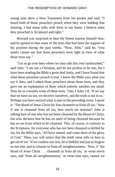young man drew a New Testament from his pocket and said, "I heard both of those preachers preach when they were holding that meeting. I had many talks with them in our home. I believe what they preached is Scriptural and right."

Howard was surprised to hear his friend express himself thus, and he quoted to him some of the texts that had been the support of his position during the past weeks. "Now, John," said he, "you surely cannot say that those preachers were right in view of what these texts say."

"Let us go over here where we may talk this over undisturbed," said John. "I am not a Christian, and do not profess to be one, but I have been reading the Bible a great deal lately, and I have found that what those preachers preach is true. I know the Bible says what you say it does, and I asked those preachers about those texts, and they gave me an explanation of them which entirely satisfies my mind. Now let us consider some of these texts. Take 1 John 1:8, 'If we say that we have no sin, we deceive ourselves, and the truth is not in us.' Perhaps you have noticed what it says in the preceding verse. I quote it: 'The blood of Jesus Christ his Son cleanseth us from all sin.' Now if one is cleansed from all sin, how much sin remains? John is talking here of one who has not been cleansed by the blood of Christ, but who declares that he has no need of being cleansed because he has no sin from which to be cleansed. This, of course, is contrary to the Scriptures, for everyone who has not been cleansed is defiled by sin, for the Bible says, 'All have sinned, and come short of the glory of God.' Then, you will notice that the ninth verse tells us how to get rid of sin: 'If we confess our sins, he is faithful and just to forgive us our sins, and to cleanse us from all unrighteousness.' Now, if 'the blood of Jesus Christ . . . cleanseth us from all sin,' as verse seven says, and 'from all unrighteousness,' as verse nine says, cannot we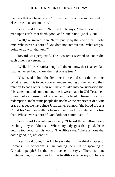then say that we have no sin? It must be true of one so cleansed, or else these texts are not true."

"Yes," said Howard, "but the Bible says, 'There is not a just man upon earth, that doeth good, and sinneth not' (Eccl. 7:20)."

"Well," answered John, "let us put up by the side of this 1 John 3:9: 'Whosoever is born of God doth not commit sin.' What are you going to do with that text?"

Howard was perplexed. The two texts seemed to contradict each other very strongly.

"Well," Howard said at length, "I do not know that I can explain that last verse, but I know the first one is true."

"Yes," said John, "the first one is true and so is the last one. What is needful is to get a correct understanding of the two and their relation to each other. You will have to take into consideration that this statement and some others like it were made in Old Testament times before Jesus had come and offered Himself for our redemption. In that time people did not have the experience of divine grace that people have since Jesus came. But now 'the blood of Jesus Christ his Son cleanseth us from all sin,' and the statement is true that 'Whosoever is born of God doth not commit sin.' "

"Yes," said Howard sarcastically, "I heard those fellows were teaching they couldn't sin. When anybody gets that good, he is getting too good for this world. The Bible says, 'There is none that doeth good, no, not one.'"

"Yes," said John, "the Bible says that in the third chapter of Romans. But of whom is Paul talking there? Is he speaking of Christian people? In the tenth verse he says, 'There is none righteous, no, not one;' and in the twelfth verse he says, 'There is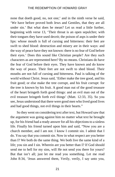none that doeth good, no, not one;' and in the ninth verse he said, 'We have before proved both Jews and Gentiles, that they are all under sin.' But what does he mean? Let us read a little further, beginning with verse 13, 'Their throat is an open sepulchre; with their tongues they have used deceit; the poison of asps is under their lips: whose mouth is full of cursing and bitterness: their feet are swift to shed blood: destruction and misery are in their ways: and the way of peace have they not known: there is no fear of God before their eyes.' Does this sound like Christian people? Are they such characters as are represented here? By no means. Christians do have the fear of God before their eyes. They have known and do know the way of peace. Their feet are not swift to shed blood. Their mouths are not full of cursing and bitterness. Paul is talking of the world without Christ. Jesus said, 'Either make the tree good, and his fruit good; or else make the tree corrupt, and his fruit corrupt: for the tree is known by his fruit. A good man out of the good treasure of the heart bringeth forth good things: and an evil man out of the evil treasure bringeth forth evil things' (Matt. 12:33, 35). So you see, Jesus understood that there were good men who lived good lives and had good things, not evil things in their hearts."

So they went on considering text after text, but Howard saw that the argument was going against him no matter what text he brought up, for his friend had a ready answer for all his objections to a sinless life. Finally his friend turned upon him and said, "Now you are a church member, and I am not. I know I commit sin. I admit that I do. You say that you commit sin. Now in what respect are you better than I? We both do the same thing. We both live the same kind of a life; you sin and I sin. Wherein are you better than I? If God should send me to hell for my sins, will He not send you there for yours? But that isn't all; just let me read you something. Let me read John 8:34, 'Jesus answered them, Verily, verily, I say unto you,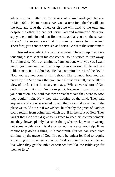whosoever committeth sin is the servant of sin.' And again he says in Matt. 6:24, 'No man can serve two masters: for either he will hate the one, and love the other; or else he will hold to the one, and despise the other. Ye can not serve God and mammon.' Now you say you commit sin and that first text says that you are 'the servant of sin.' The second says that 'no man can serve two masters.' Therefore, you cannot serve sin and serve Christ at the same time."

Howard was silent. He had no answer. These Scriptures were touching a sore spot in his conscience, so he started to turn away. But John said, "Hold on a minute. I am not done with you yet. I want you to go home and read this Scripture in your own Bible and face it like a man. It is 1 John 3:8, 'He that committeth sin is of the devil.' Now you say you commit sin; I should like to know how you can prove by the Scriptures that you are a Christian at all, especially in view of the fact that the next verse says, 'Whosoever is born of God doth not commit sin.' One more point, however, I want to call to your attention. You said that those preachers said they were so good they couldn't sin. Now they said nothing of the kind. They said anyone could sin who wanted to, and that we could never get to the place we could not sin if we wished, but that by the grace of God we could refrain from doing that which is evil in the sight of God. They taught that God would give to us grace to keep his commandments and they showed plainly that sin is doing what we knew to be wrong, not some accident or mistake or something we cannot help. If we cannot help doing a thing, it is not sinful. But we can keep from sinning, by the grace of God. It would be unjust for God to require something of us that we cannot do. God is not unjust: so people can live when they get the Bible experience just like the Bible says for them to live."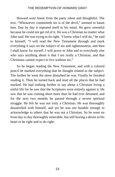Howard went home from the party silent and thoughtful. The text, "Whosoever committeth sin is of the devil," seemed to haunt him. Day by day it repeated itself in his mind. He grew resentful because he could not get rid of it. He was a Christian no matter what John said. He was trying to do right. "I know what I will do," he said to himself. "I will read the New Testament through and mark everything it says on the subject of sin and righteousness, and then I shall know for myself. I will prove to John and to everybody else who says anything about it that I am really a Christian, and that Christians cannot expect to live without sin."

So he began reading the New Testament, and with a colored pencil he marked everything that he thought related to the subject. The further he went the more disturbed he was. Finally he finished reading it. Then he turned back and read all the places that he had marked. He had nothing further to say about a Christian living a sinful life for he saw that the Scriptures were entirely against it. He saw that he was coming short more than he had ever dreamed, and for the next two months he passed through a severe spiritual struggle. He felt he was not truly a Christian. He was thoroughly dissatisfied with himself, and yet he was not humble enough to acknowledge to others that he was not a Christian. So he went on from day to day thoroughly miserable, but still having a desire in his heart to be right and to do right.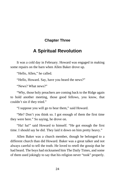#### <span id="page-29-0"></span>**Chapter Three**

# **A Spiritual Revolution**

It was a cold day in February. Howard was engaged in making some repairs on the barn when Allen Baker drove up.

"Hello, Allen," he called.

"Hello, Howard. Say, have you heard the news?"

"News? What news?"

"Why, those holy preachers are coming back to the Ridge again to hold another meeting, those good fellows, you know, that couldn't sin if they tried."

"I suppose you will go to hear them," said Howard.

"Me? Don't you think so. I got enough of them the first time they were here." So saying, he drove on.

"Ha! ha!" said Howard to himself. "He got enough the first time. I should say he did. They laid it down on him pretty heavy."

Allen Baker was a church member, though he belonged to a different church than did Howard. Baker was a great talker and not always careful to tell the truth. He loved to retell the gossip that he had heard. The boys had nicknamed him The Daily Times, and some of them used jokingly to say that his religion never "took" properly.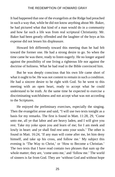It had happened that one of the evangelists at the Ridge had preached in such a way that, while he did not know anything about Mr. Baker, he had pictured what that kind of a man would do in a community and how far such a life was from real scriptural Christianity. Mr. Baker had been greatly offended and the laughter of the boys at his expense did not lessen his displeasure.

Howard felt differently toward this meeting than he had felt toward the former one. He had a strong desire to go. So when the time came he was there, ready to listen eagerly. He no longer argued against the possibility of one living a righteous life nor against the doctrine of holiness. What he had read in the Bible convinced him.

But he was deeply conscious that his own life came short of what it ought to be. He was not content to remain in such a condition. He had a sincere desire to be right with God. So he went to this meeting with an open heart, ready to accept what he could understand to be truth. At the same time he expected to exercise a discriminating watchfulness and not accept what was not according to the Scriptures.

He enjoyed the preliminary exercises, especially the singing. Then the evangelist arose and said, "I will use two texts tonight as a basis for my remarks. The first is found in Matt. 11:28, 29, 'Come unto me, all ye that labor and are heavy laden, and I will give you rest. Take my yoke upon you and learn of me; for I am meek and lowly in heart: and ye shall find rest unto your souls.' The other is found in Matt. 16:24, 'If any man will come after me, let him deny himself, and take up his cross, and follow me.' My subject this evening is 'The Way to Christ,' or 'How to Become a Christian.' The two texts that I have read contain two phrases that sum up the whole matter; they are, 'come unto me,' and 'follow me.' The world of sinners is far from God. They are 'without God and without hope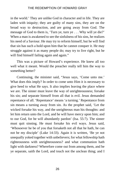in the world.' They are unlike God in character and in life. They are laden with iniquity; they are guilty of many sins, they are on the broad way to destruction, and are going away from God. The message of God to them is, 'Turn ye, turn ye . . . Why will ye die?' When a man is awakened to see the sinfulness of his sins, he realizes his need of a Saviour. He may try to reform himself, but he will find that sin has such a hold upon him that he cannot conquer it. He may struggle against it as many people do; may try to live right, but he will find himself failing again and again."

This was a picture of Howard's experience. He knew all too well what it meant. Would the preacher really tell him the way to something better?

Continuing, the minister said, "Jesus says, 'Come unto me.' What does this imply? In order to come unto Him it is necessary to give heed to what He says. It also implies leaving the place where we are. The sinner must leave the way of unrighteousness; forsake his sin; and separate himself from all that is evil. Jesus demanded repentance of all. 'Repentance' means 'a turning.' Repentance from sin means a turning away from sin. As the prophet said, 'Let the wicked forsake his way, and the unrighteous man his thoughts: and let him return unto the Lord, and he will have mercy upon him; and to our God, for he will abundantly pardon' (Isa. 55:7). The sinner must quit sinning. He must forsake his evil ways. Jesus said, 'Whosoever he be of you that forsaketh not all that he hath, he can not be my disciple' (Luke 14:33). Again it is written, 'Be ye not unequally yoked together with unbelievers; for what fellowship hath righteousness with unrighteousness? and what communion hath light with darkness? Wherefore come out from among them, and be ye separate, saith the Lord, and touch not the unclean thing; and I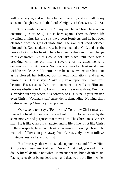will receive you, and will be a Father unto you, and ye shall be my sons and daughters, saith the Lord Almighty' (2 Cor. 6:14, 17, 18).

"Christianity is a new life: 'If any man be in Christ, he is a new creature' (2 Cor. 5:17). He is born again. There is divine life dwelling in him. His old sins have been forgiven, and he has been cleansed from the guilt of those sins. The wall that stood between him and his God is taken away; he is reconciled to God, and has the peace of God in his heart. There has been a deep and great change in his character. But this could not take place until there was a breaking with the old life, a severing of its attachments, a deliverance from its power. So he who comes to Christ must come with his whole heart. Hitherto he has been his own master, has done as he pleased, has followed out his own inclinations, and served himself. But Christ says, 'Take my yoke upon you.' We must become His servants. We must surrender our wills to Him and become obedient to Him. He must have His way with us. We must surrender our way where it is contrary to His. 'One is your master, even Christ.' Voluntary self-surrender is demanding. Nothing short of this is taking Christ's yoke upon us.

"Our second text says, 'Follow me.' To follow Christ means to live as He lived. It means to be obedient to Him, to be moved by the same motives and purposes that move Him. The Christian is Christ's man. He is like Christ in character and in life. If he is not like Christ in these respects, he is not Christ's man—not following Christ. The man who follows sin goes away from Christ. Only he who follows righteousness walks with Christ.

"But Jesus says that we must take up our cross and follow Him. A cross is an instrument of death. So as Christ died, you and I must die. A literal death is not what He means for us, but a death to sin. Paul speaks about being dead to sin and dead to the old life in which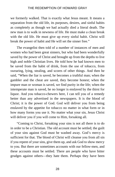we formerly walked. That is exactly what Jesus meant. It means a separation from the old life, its purposes, desires, and sinful habits as completely as though we had actually died a literal death. The new man is to walk in newness of life. He must make a clean break with the old life. He must give up every sinful habit. Christ will break the power of habit and He will set the sinner free."

The evangelist then told of a number of instances of men and women who had been great sinners, but who had been wonderfully saved by the power of Christ and brought up from the depths to live high and noble Christian lives. He told how he had known men to be saved from the habit of drink, from the use of tobacco, from swearing, lying, stealing, and scores of other things. And then he said, "When the liar is saved, he becomes a truthful man; when the gambler and the cheat are saved, they become honest; when the impure man or woman is saved, we find purity in the life; when the intemperate man is saved, he no longer is enslaved by the thirst for liquor. And you tobacco-chewers here, I can tell you of a remedy better than any advertised in the newspapers. It is the blood of Christ; it is the power of God. God will deliver you from being enslaved by the appetite for tobacco no matter in what form or in how many forms you use it. No matter what your sin, Jesus Christ will deliver you if you will come to Him, forsaking all.

"Coming to Christ, forsaking your sins is not all there is to do in order to be a Christian. The old account must be settled; the guilt of your sins against God must be washed away. God's mercy is sufficient for that. The blood of Christ will cleanse you from all sin if you repent of your sins, give them up, and ask God to show mercy to you. But there are sometimes accounts with our fellow-men, and these accounts must be settled. There are people who have bitter grudges against others—they hate them. Perhaps they have been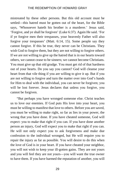mistreated by these other persons. But this old account must be settled—this hatred must be gotten out of the heart, for the Bible says, 'Whosoever hateth his brother is a murderer.' Jesus said, 'Forgive, and ye shall be forgiven' (Luke 6:37). Again He said. 'For if ye forgive men their trespasses, your heavenly Father will also forgive your trespasses' (Matt. 6:14, 15). Some people say they cannot forgive. If this be true, they never can be Christians. They wish God to forgive them, but they are not willing to forgive others. If we are not willing to give up the hatred that is in our hearts toward others, we cannot cease to be sinners; we cannot become Christians. You must give up that old grudge. You must get rid of that hardness out of your hearts. Do you say you cannot? God will cleanse your heart from that vile thing if you are willing to give it up. But if you are not willing to forgive and turn the matter over into God's hands for Him to deal with the individual, you can never be forgiven; you will be lost forever. Jesus declares that unless you forgive, you cannot be forgiven.

"But perhaps you have wronged someone else. Christ teaches us to love our enemies. If God puts His love into your heart, you must be willing to manifest that love to others. Before you are saved, you must be willing to make right, so far as lies in your power, the wrong that you have done. If you have cheated someone, God will expect: you to make that right if you can. If you have done another person an injury, God will expect you to make that right if you can. He will not only expect you to ask forgiveness and make due confession to the individual wronged, but He will require you to repair the injury as far as possible. You will desire to do this when the love of God is in your heart. If you have cheated your neighbor, you will not wish to keep your ill-gotten gains. They are not yours and you will feel they are not yours—you will want the true owner to have them. If you have harmed the reputation of another, you will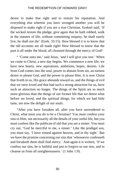desire to make that right and to restore his reputation. And everything else wherein you have wronged another you will be disposed to make right if you are a true Christian. Ezekiel said, 'If the wicked restore the pledge, give again that he hath robbed, walk in the statutes of life, without committing iniquity, he shall surely live, he shall not die' (Ezek. 33:15). How blessed it is to know that the old accounts are all made right! How blessed to know that the past is all under the blood, all cleansed through the mercy of God!

" 'Come unto me,' said Jesus, 'and I will give you rest.' When we come to Christ, a new day begins. We commence a new life; we have new hearts, new aspirations, ambitions, hopes, desires. Life from God comes into the soul, power to abstain from sin, an earnest desire to please God, and the power to please Him. It is now Christ that liveth in us, His grace abounds toward us, and the things of evil that we once loved and that had such a strong attraction for us, have such an attraction no longer. The things of the Spirit are so much more glorious than the things of our former life that we detest what before we loved, and the spiritual things, for which we had little taste, are now the delight of our souls.

"After you have forsaken all, after you have surrendered to Christ, what must you do to be a Christian? You must confess your sins to Him, not necessarily all the details of your sinful life, but you must confess like the publican of old that you are a sinner. You must cry out, 'God be merciful to me, a sinner.' Like the prodigal son, you must say, 'I have sinned against heaven, and in thy sight.' But we have the promise concerning our sins that 'whosoever confesseth and forsaketh them shall find mercy.' And again it is written, 'If we confess our sins, he is faithful and just to forgive us our sins, and to cleanse us from all unrighteousness.' (1 John 1:9).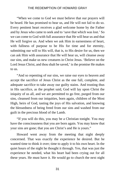"When we come to God we must believe that our prayers will be heard. He has promised to hear us, and He will not fail to do so. Every penitent heart receives a glad welcome home by the Father and by Jesus who came to seek and to 'save that which was lost.' So we can come to God with full assurance that He will hear us and that He will forgive us. And when we ask Him in earnestness of heart, with fullness of purpose to be His for time and for eternity, submitting our will to His will, that is, to His desire for us, then we can ask Him with assurance that He will hear us, will cleanse away our sins, and make us new creatures in Christ Jesus. 'Believe on the Lord Jesus Christ, and thou shalt be saved,' is the promise He makes to us.

"And so repenting of our sins, we raise our eyes to heaven and accept the sacrifice of Jesus Christ as the one full, complete, and adequate sacrifice to take away our guilty stains. And trusting thus in His sacrifice, as the prophet said, God will lay upon Christ the iniquity of us all, and we are permitted to go free, purged from our sins, cleansed from our iniquities, born again, children of the Most High, heirs of God, tasting the joys of His salvation, and knowing the blessedness of being freed from our sins and washed from our guilt in the precious blood of the Lamb.

"If you will do this, you may be a Christian tonight. You may have the consciousness that you are born again. You may know that your sins are gone; that you are Christ's and He is yours."

Howard went away from the meeting that night deeply concerned. That was exactly the experience he desired. But he wanted time to think it over; time to apply it to his own heart. In the quiet hours of the night he thought it through. Yes, that was just the experience he needed, what his heart had been crying out for all these years. He must have it. He would go to church the next night

31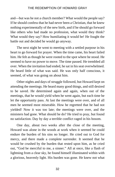and—but was he not a church member? What would the people say? If he should confess that he had never been a Christian, that he knew nothing experimentally of the new birth, and if he should go forward like others who had made no profession, what would they think? What would they say? How humiliating it would be! He fought the battle out and decided he would go anyway.

The next night he went to meeting with a settled purpose in his heart to go forward for prayer. When the time came, his heart failed him. He felt as though he were rooted to the spot where he stood. He seemed to have no power to move. The time passed. He trembled all over. When the invitation had ended, he sat in his seat overwhelmed. He heard little of what was said. He was only half conscious, it seemed, of what was going on about him.

Other nights and days of struggle followed, but Howard kept on attending the meetings. He heard many good things, and still desired to be saved. He determined again and again, when out of the meetings, that he would yield when he went again, but each time he let the opportunity pass. At last the meetings were over, and of all men he seemed most miserable. How he regretted that he had not yielded! Now it was too late; the meetings were over, and the ministers had gone. What should he do? He tried to pray, but found no satisfaction. Day by day a terrible conflict raged in his bosom.

One day, about two weeks after the close of the meeting, Howard was alone in the woods at work when it seemed he could endure the burden of his sins no longer. He cried out to God for mercy, and there made a complete surrender. It seemed that he would be crushed by the burden that rested upon him, as he cried out, "God be merciful to me, a sinner." All at once, like a flash of lightning from a clear sky, he found himself illuminated within with a glorious, heavenly light. His burden was gone. He knew not what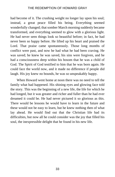had become of it. The crushing weight no longer lay upon his soul; instead, a great peace filled his being. Everything seemed wonderfully changed; that somber March morning suddenly became transformed, and everything seemed to glow with a glorious light. He had never seen things look so beautiful before; in fact, he had never been so happy before. He lifted up his heart and praised the Lord. That praise came spontaneously. Those long months of conflict were past, and now he had what he had been craving. He was saved; he knew he was saved, his sins were forgiven, and he had a consciousness deep within his bosom that he was a child of God. The Spirit of God testified to him that he was born again. He could face the world now, and it made no difference if people did laugh. His joy knew no bounds, he was so unspeakably happy.

When Howard went home at noon there was no need to tell the family what had happened. His shining eyes and glowing face told the story. This was the beginning of a new life, the life for which he had longed, but it was greater and richer and fuller than he had ever dreamed it could be. He had never pictured it so glorious as this. There would be lessons he would have to learn in the future and these would not be easy to learn, but he knew nothing then of what lay ahead. He would find out that the Christian life had its difficulties, but now all he could consider was the joy that filled his soul, the inexpressible delight that he found in his new life.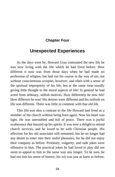## **Chapter Four**

# **Unexpected Experiences**

As the days went by, Howard Gray contrasted the new life he was now living with the life which he had lived before. How different it now was from those days when he had made no profession of religion, but had run his course in the way of sin, not without conscientious scruples, however, and often with a sense of the spiritual impropriety of his life, but at the same time usually giving little thought to the moral aspects of life! In general he had acted from ordinary, selfish motives. How differently he now felt! How different he was! His desires were different and his outlook on life was different. There was little in common with that old life.

This life was also a contrast to the life Howard had lived as a member of the church without being born again. Now his heart was light. He was untroubled and full of peace. There was a joyful exuberance that buoyed up his spirits. It was now a delight to attend church services, and he loved to be with Christian people. His affection for his old associates still remained, but he no longer had any desire to enter into their sinful pleasures, for he did not enjoy their company as before. Profanity, vulgarity, and rude jokes were offensive to him. The practical jokes he had loved to play did not seem to appeal to him in the same way any longer. To be sure, he had not lost his sense of humor; his wit was just as keen as before,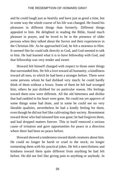and he could laugh just as heartily and have just as good a time, but in some way the whole course of his life was changed. He found his pleasures in different things than formerly. Different things appealed to him. He delighted in reading the Bible, found much pleasure in prayer, and he loved to be in the presence of older persons when they talked about the Savior and their experiences in the Christian life. As he approached God, he felt a nearness to Him. It seemed like he could talk directly to God, and God seemed to talk to him. He had learned what it is to have fellowship with God, and that fellowship was very tender and sweet.

Howard felt himself changed with respect to those outer things that surrounded him. He felt a love toward all humanity; a kindliness toward all men, to which he had been a stranger before. There were some persons whom he had disliked very much; he could hardly think of them without a frown. Some of them he felt had wronged him; others he just disliked for no particular reason. His feelings toward them now were different. All the old bitterness and dislike that had rankled in his heart were gone. He could not yet approve of some things some had done, and in some he could see no very likeable qualities, nevertheless he had a kindly feeling for them, even though he did not feel like cultivating their society. Resentment toward those who had misused him was gone; he had forgiven them, and had dropped matters forever. This in itself removed a serious cause of irritation and gave opportunities for peace in a direction where there had been no peace before.

Howard showed a tenderness toward dumb creatures about him. He could no longer be harsh or cruel to the stock; no longer tormenting them with his practical jokes. He felt a mercifulness and kindness toward them quite different from anything he had felt before. He did not feel like giving pain to anything or anybody. In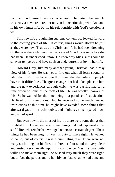fact, he found himself having a consideration hitherto unknown. He was truly a new creature, not only in his relationship with God and in his own inner life, but in his relationship with God's creation as well.

This new life brought him supreme content. He looked forward to the coming years of life. Of course, things would always be just as they were now. That was the Christian life he had been dreaming of; that was the joyfulness that had caused Miss Burns to be like she had been. He understood it now. He knew why Miss Burns could be so even-tempered and have such an undercurrent of joy in her life.

Howard Gray, like many another young Christian, had a rosy view of his future. He was yet to find out what all learn sooner or later, that life's roses have their thorns and that the holiest of people have their difficulties. The great change that had taken place in him and the new experiences through which he was passing had for a time obscured some of the facts of life. He was wholly unaware of this. So he walked for the time being in a paradise of satisfaction. He lived on his emotions. Had he received some much needed instructions at this time he might have avoided some things that afterward gave him much trouble, and might have been spared much anguish of spirit.

But even now in the midst of his joy there were some things that troubled him. He remembered some things that had happened in his sinful life, wherein he had wronged others to a certain degree. These things he had been taught it was his duty to make right. He wanted to do so, but of course it was a humiliating task. There were not many such things in his life, but three or four stood out very clear and rested very heavily upon his conscience. Yes, he was quite willing to make them right; he wished very much they were right, but to face the parties and to humbly confess what he had done and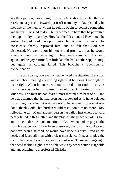ask their pardon, was a thing from which he shrank. Such a thing is rarely an easy task. Howard put it off from day to day. One day he met one of the men to whom he felt he ought to confess something and he really wished to do it, but it seemed so hard that he permitted the opportunity to pass by. How bad he felt about it! How much he wished he had used the opportunity, but it was now gone. His conscience sharply reproved him, and he felt that God was displeased. He went upon his knees and promised that he would speedily make the matter right. Then peace came into his heart again, and his joy returned. A little later he had another opportunity, but again his courage failed. This brought a repetition of condemnation.

The time came, however, when he faced the situation like a man and set about making everything right that he thought he ought to make right. When he once set about it, he did not find it nearly as hard a task as he had supposed it would be. All treated him with kindness. The man he had feared most treated him best of all, and he was ashamed that he had been such a coward as to have delayed for so long that which it was his duty to have done. But now it was done, thank God! That burden would rest upon him no more. How relieved he felt! Many another person has failed just where Howard nearly failed in this matter, and thereby lost the peace out of his soul and came under the condemnation of God, when had he played the man, his peace would have been preserved, the joy of his soul would not have been disturbed, he would have done his duty, lifted up his head, and faced all men with a clear conscience. It pays to play the man. The coward's way is always a hard way. To make things right that need making right is the noble way: any other course is ignoble and unbecoming to a professed Christian.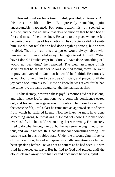Howard went on for a time, joyful, peaceful, victorious. Ah! this was the life to live! But presently something quite unaccountable happened. For some reason his joy seemed to subside, and he did not have that flow of emotion that he had had at first and most of the time since. He came to the place where he felt no particular stirrings of his emotions. His conscience did not smite him. He did not feel that he had done anything wrong, but he was troubled. That joy that he had supposed would always abide with him seemed to have faded away. He began to ask himself, "What have I done?" Doubts crept in. "Surely I have done something or I would not feel thus," he reasoned. The clear assurance of his salvation that he had had for so long seemed fading away. He went to pray, and vowed to God that he would be faithful. He earnestly asked God to help him to be a true Christian, and prayed until the joy came back into his soul. Now he knew he was saved, for he had the same joy, the same assurance, that he had had at first.

To his dismay, however, these joyful emotions did not last long, and when these joyful emotions were gone, his confidence oozed out, and his assurance gave way to doubts. The more he doubted, the worse he felt, until at last he came into an agonized state of heart from which he suffered keenly. Now he knew he must have done something wrong, but what was it? He did not know. He looked back over his life, but he could see nothing that was wrong. He sincerely tried to do what he ought to do, but he was sure he ought not to feel thus, and would not feel thus, had he not done something wrong. For days he was in this troubled state. Under the discouraging influence of this condition, he did not speak as kindly sometimes as he had been speaking before. He was not as patient as he had been. He was tried in unexpected ways. But he fled to God and prayed until the clouds cleared away from his sky and once more he was joyful.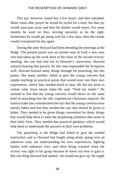This joy, however, lasted but a few hours, and then subsided. Many times after prayer he would be joyful for a time, but that joy would soon pass away and then his doubts would return. For some months he went on thus, striving earnestly to do the right. Sometimes he would get along well for a few days, then the clouds would overspread his sky again.

During this time Howard had been attending the meetings at the Ridge. The present pastor was an earnest man of God; a new man who had taken up the work there at the close of the second revivalmeeting, the one that had led to Howard's conversion. Howard enjoyed hearing him preach, for this man expounded the Scriptures well. Howard learned many things through his preaching, but this pastor, like many another, failed to give the young converts that simple teaching on practical points that would enter into their own experiences, which they needed much to hear. He did not seem to realize what Jesus meant when He said, "Feed my lambs." He seemed to feel that the young converts would thrive on the same kind of preaching that the old, experienced Christians enjoyed. He failed to take into consideration the fact that the young converts were merely babes and that they needed the care that should be given to babes. They needed to be given things convenient for them; things that would help them to meet the perplexing problems that arose in their daily lives. They needed that practical guidance which would help them to understand the answers to their own problems.

The preaching at the Ridge had failed to give the needed instruction, and so Howard had fought along alone, going over an unknown road, not understanding his own experiences, fighting battles with unknown foes, and often being worsted when the victory was right in his grasp because he knew not how to gain it. But one thing Howard had settled—he would not give up. He might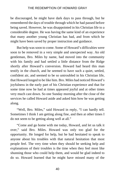be discouraged, he might have dark days to pass through, but he remembered the days of trouble through which he had passed before being saved. However, he was disappointed in his Christian life to a considerable degree. He was having the same kind of an experience that many another young Christian has had, and from which he might have been saved by proper instruction and guidance.

But help was soon to come. Some of Howard's difficulties were soon to be removed in a very simple and unexpected way. An old gentleman, Bro. Miles by name, had moved into the community with his family and had settled a little distance from the Ridge shortly after Howard's conversion. Howard had heard this man testify in the church, and he seemed to have such a quiet, settled, confident air, and seemed to be so untroubled in his Christian life, that Howard longed to be like him. Bro. Miles had noticed Howard's joyfulness in the early part of his Christian experience and that for some time now he had at times appeared joyful and at other times very much cast down. So one Sunday morning after the close of the services he called Howard aside and asked him how he was getting along.

"Well, Bro. Miles," said Howard in reply, "I can hardly tell. Sometimes I think I am getting along fine, and then at other times I do not seem to be getting along well at all."

"Come and go home with me today, Howard, and let us talk it over," said Bro. Miles. Howard was only too glad for the opportunity. He longed for help, but he had hesitated to speak to anyone about his troubles with that natural hesitation that most people feel. The very time when they should be seeking help and explanations of their troubles is the time when they feel most like shunning those who could help them, and would be glad indeed to do so. Howard learned that he might have missed many of the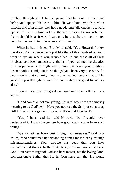troubles through which he had passed had he gone to this friend before and opened his heart to him. He went home with Mr. Miles that day and after dinner they had a good, long talk together. Howard opened his heart to him and told the whole story. He was ashamed that it should be as it was. It was only because he so much wanted help that he would tell the secrets of his heart.

When he had finished, Bro. Miles said, "Yes, Howard, I know the story. Your experience is just like that of thousands of others. I want to explain where your trouble lies. In one sense all of these troubles have been unnecessary; that is, if you had met the situation in a proper way, you might easily have overcome your troubles. From another standpoint these things have been very necessary for you in order that you might learn some needed lessons that will be good for you throughout your life and perhaps be good for others, also."

"I do not see how any good can come out of such things, Bro. Miles<sup>"</sup>

"Good comes out of everything, Howard, when we are earnestly meaning to do God's will. Have you not read the Scripture that says, 'All things work together for good to them that love God'?"

"Yes, I have read it," said Howard, "but I could never understand it. I could never see how good could come from such things."

"We sometimes learn best through our mistakes," said Bro. Miles, "and sometimes understanding comes most clearly through misunderstandings. Your trouble has been that you have misunderstood things. In the first place, you have not understood God. You have thought of God as a hard master; not the loving, kind, compassionate Father that He is. You have felt that He would

41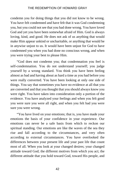condemn you for doing things that you did not know to be wrong. You have felt condemned and have felt that it was God condemning you, but you could not see that you had done wrong. You have loved God and yet you have been somewhat afraid of Him. God is always loving, kind, and good. He does not ask of us anything that would make Him appear unkind or uncharitable, or anything that would be in anywise unjust to us. It would have been unjust for God to have condemned you when you had done no conscious wrong, and when you were trying your best to please Him.

"God does not condemn you; that condemnation you feel is self-condemnation. You do not understand yourself; you judge yourself by a wrong standard. You think you have been feeling almost as bad and having about as hard a time as you had before you were really converted. You have been looking at only one side of things. You say that sometimes you have no evidence at all that you are converted and that you thought that you should always know you were right. You have taken into consideration only a portion of the evidence. You have analyzed your feelings and when you felt good you were sure you were all right, and when you felt bad you were sure you were wrong.

"You have lived on your emotions; that is, you have made your emotions the basis of your confidence in your experience. Our emotions can never be a safe basis from which to reckon our spiritual standing. Our emotions are like the waves of the sea they rise and fall according to the circumstances, and very often according to external circumstances. You have overlooked the differences between your present life and your past life that count most of all. When you look at your changed desires; your changed attitude toward God; the different motives from which you act; the different attitude that you hold toward God, toward His people, and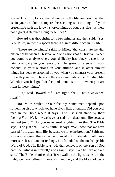toward His truth; look at the difference in the life you now live, that is, in your conduct; compare the seeming shortcomings of your present life with the known shortcomings of your past life—is there not a great difference along these lines?"

Howard was thoughtful for a few minutes and then said, "Yes, Bro. Miles, in those respects there is a great difference in my life."

"Those are the things," said Bro. Miles, "that constitute the vital difference between a Christian and one who is not a Christian. When you come to analyze where your difficulty has lain, you see it has lain principally in your emotions. The great difference in your conduct, in your relations, in your attitude, and in other similar things has been overlooked by you when you contrast your present life with your past. These are the very essentials of the Christian life. Whether you feel good or feel bad amounts to little when you are right in these things."

"But," said Howard, "if I am right, shall I not always feel right?"

Bro. Miles smiled. "Your feelings sometimes depend upon something else to which you have given little attention. Did you ever read in the Bible where it says, 'The just shall stand by their feelings?' or 'We know we have passed from death unto life because we feel joyful?' No, you never read anything like that. The Bible says, 'The just shall live by faith.' It says, 'We know that we have passed from death unto life, because we love the brethren.' Faith and love are two great things that count most in Christianity. Faith has a more sure basis than our feelings. It is founded on the unchangeable Word of God. The Bible says, 'He that believeth on the Son of God hath the witness in himself,' and again it says, 'We believe and are sure.' The Bible promises that 'if we walk in the light, as he is in the light, we have fellowship one with another, and the blood of Jesus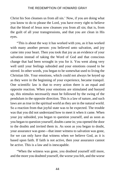Christ his Son cleanses us from all sin.' Now, if you are doing what you know to do to please the Lord, you have every right to believe that the blood of Jesus now cleanses you from all sin; that is, from the guilt of all your transgressions, and that you are clean in His eyes.

"This is about the way it has worked with you, as it has worked with many another person: you believed unto salvation, and joy came into your heart. Then you took that joy as an evidence of your salvation instead of taking the Word of God and that conscious change that had been wrought in you for it. You went along very well until your feelings subsided and your emotions ceased to be stirred. In other words, you began to be somewhat used to living the Christian life. Your emotions, which could not always be keyed up as they were in the beginning of your experience, became tranquil. One scientific law is that to every action there is an equal and opposite reaction. When your emotions are stimulated and buoyed up, this stimulus necessarily must be followed by the swing of the pendulum in the opposite direction. This is a law of nature, and such laws are as true in the spiritual world as they are in the natural world. So a reaction from that joyful state was to be expected. The trouble was that you did not understand how to meet it when it came. When your joy subsided, you began to question yourself, and as soon as you began to question yourself, doubts came in; you opened the door to the doubts and invited them in. As soon as you began to doubt, your assurance was gone—that inner witness to salvation was gone, for we can only have that witness when we believe God, as it is based upon faith. If faith is not active, then your assurance cannot be active. This is a law and is inescapable.

"When the witness was gone, you doubted yourself still more, and the more you doubted yourself, the worse you felt, and the worse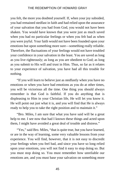you felt, the more you doubted yourself. If, when your joy subsided, you had remained stedfast in faith and had relied upon the assurance of your salvation that you had from God, you would not have been shaken. You would have known that you were just as much saved when you had no particular feelings or when you felt bad as when you were joyful. Your faith would not have been founded upon your emotions but upon something more sure—something really reliable. Therefore, the fluctuations of your feelings would not have troubled your confidence in your salvation in the least. You are saved as long as you live righteously; as long as you are obedient to God; as long as you submit to His will and trust in Him. Thus, so far as it relates to your experience of salvation, you have had all this trouble for nothing.

"If you will learn to believe just as stedfastly when you have no emotions or when you have bad emotions as you do at other times, you will be victorious all the time. One thing you should always remember is that God is faithful. If you do anything that is displeasing to Him in your Christian life, He will let you know it. He will point out just what it is, and you will find that He is always ready to help you to take the right position and to maintain it."

"Bro. Miles, I am sure that what you have said will be a great help to me. I see now that had I known these things and acted upon them, I might have avoided a great deal of trouble and distress."

"Yes," said Bro. Miles, "that is quite true, but you have learned, or are in the way of learning, some very valuable lessons from your experience. You will find, however, that it is not easy to discredit your feelings when you feel bad, and since you have so long relied upon your emotions, you will not find it easy to stop doing so. But you must stop doing so. You must remember how unreliable our emotions are, and you must base your salvation on something more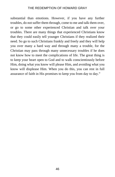substantial than emotions. However, if you have any further troubles, do not suffer them through, come to me and talk them over, or go to some other experienced Christian and talk over your troubles. There are many things that experienced Christians know that they could easily tell younger Christians if they realized their need. So go to such Christians frankly and freely and they will help you over many a hard way and through many a trouble, for the Christian may pass through many unnecessary troubles if he does not know how to meet the complications of life. The great thing is to keep your heart open to God and to walk conscientiously before Him, doing what you know will please Him, and avoiding what you know will displease Him. When you do this, you can rest in full assurance of faith in His promises to keep you from day to day."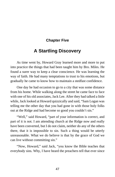# **Chapter Five**

# **A Startling Discovery**

As time went by, Howard Gray learned more and more to put into practice the things that had been taught him by Bro. Miles. He found a surer way to keep a clear conscience. He was learning the way of faith. He had many temptations to trust to his emotions, but gradually he came to know how to maintain a stedfast confidence.

One day he had occasion to go to a city that was some distance from his home. While walking along the street he came face to face with one of his old associates, Jack Lee. After they had talked a little while, Jack looked at Howard quizzically and said, "Sam Logan was telling me the other day that you had gone in with those holy folks out at the Ridge and had become so good you couldn't sin."

"Well," said Howard, "part of your information is correct, and part of it is not. I am attending church at the Ridge now and really have been converted, but I do not claim, neither do any of the others there, that it is impossible to sin. Such a thing would be utterly unreasonable. What we do believe is that by the grace of God we can live without committing sin."

"Now, Howard," said Jack, "you know the Bible teaches that everybody sins. Why, I have heard the preachers tell that ever since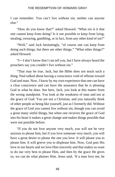I can remember. You can't live without sin; neither can anyone else."

"How do you know that?" asked Howard. "What sin is it that one cannot keep from doing? Is it not possible to keep from lying, stealing, swearing, gambling, or in fact, from any other kind of sin?"

"Well," said Jack hesitatingly, "of course one can keep from doing such things, but there are other things." "What other things?" asked Howard.

"I—I don't know that I can tell you, but I have always heard the preachers say you couldn't live without sin."

"That may be true, Jack, but the Bible does not teach such a thing. Paul talked about having a conscience void of offense toward God and man. Now, I know by my own experience that one can have a clear conscience and can have the assurance that he is pleasing God in what he does. See here, Jack, you look at this matter from the wrong standpoint. You look at the weakness of man and not at the grace of God. You are not a Christian, and you naturally think of other people as being like yourself, just as I formerly did. Without the grace of God you cannot live without sin, though you can avoid a great many sinful things, but when one receives the grace of God into his heart it makes a great change and makes things possible that were not possible before.

"If you do not love anyone very much, you will not be very anxious to please him, but if you love someone very much, you will have a great desire to please the one you love. It will please you to please him. It will grieve you to displease him. Now, God puts His love in our hearts and we love Him sincerely and that makes us want to do our very best to please Him, and then by the grace He gives us, we can do what pleases Him. Jesus said, 'If a man love me, he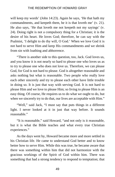will keep my words' (John 14:23). Again he says, 'He that hath my commandments, and keepeth them, he it is that loveth me' (v. 21). He also says, 'He that loveth me not keepeth not my sayings' (v. 24). Doing right is not a compulsory thing for a Christian; it is the desire of his heart. He loves God; therefore, he can say with the Psalmist, 'I delight to do thy will, O God.' When we love God it is not hard to serve Him and keep His commandments and we shrink from sin with loathing and abhorrence.

"There is another side to this question, too, Jack. God loves us, and you know it is not nearly so hard to please one who loves us as to try to please one who does not love us. Therefore, we can please God, for God is not hard to please. God is altogether reasonable and asks nothing but what is reasonable. Two people who really love each other sincerely and try to please each other have little trouble in doing so. It is just that way with serving God. It is not hard to please Him and we love to please Him; so living to please Him is an easy thing. Of course, He requires us to do what we ought to do, but when we sincerely try to do that, our lives are acceptable with Him."

"Well," said Jack, "I must say that puts things in a different light. I never looked at it in just that way before. It sounds reasonable."

"It is reasonable," said Howard, "and not only is it reasonable, but it is what the Bible teaches and what every true Christian experiences."

As the days went by, Howard became more and more settled in his Christian life. He came to understand God better and to know better how to serve Him. While this was true, he became aware that there was something within him that did not harmonize with the gracious workings of the Spirit of God within him. There was something that had a strong tendency to respond to temptation; that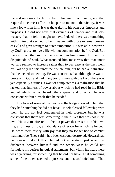made it necessary for him to be on his guard continually, and that required an earnest effort on his part to maintain the victory. It was like a foe within him. It was the traitor to his own best impulses and purposes. He did not have that evenness of temper and that selfmastery that he felt he ought to have. Indeed, there was something within him that seemed to be in league with those external powers of evil and gave strength to outer temptation. He was able, however, by God's grace, to live a life without condemnation before God. But the very fact that such a foe was within him caused him serious disquietude of soul. What troubled him most was that that inner warfare seemed to increase rather than to decrease as the days went by. Not only did this inner foe trouble him, but he had a realization that he lacked something. He was conscious that although he was at peace with God and had many joyful times with the Lord, there was yet, especially at times, a want of completeness, a realization that he lacked that fullness of power about which he had read in his Bible and of which he had heard others speak, and of which he was conscious within himself that he needed.

The lives of some of the people at the Ridge showed to him that they had something he did not have. He felt blessed fellowship with them; he did not feel condemned in their presence, but he was conscious that there was something in their lives that was not in his own. He saw manifested in them a power that was not in his own life, a fullness of joy, an abundance of grace for which he longed. He heard them testify with joy that they no longer had to combat that inner foe. They said it had been cast out, destroyed. Howard had no reason to doubt this. He did not understand just what this difference between himself and the others was; he could not formulate his desires in logical statements, but within his heart there was a yearning for something that he did not have. That something some of the others seemed to possess, and his soul cried out, "That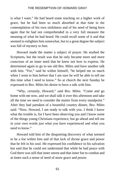is what I want." He had heard some teaching on a higher work of grace, but he had been so much absorbed at that time in the contemplation of his own sinfulness and of his need of being born again that he had not comprehended in a very full measure the meaning of what he had heard. He could recall some of it and that seemed to enlighten him somewhat, but to a great degree the subject was full of mystery to him.

Howard made the matter a subject of prayer. He studied the Scriptures, but the result was that he only became more and more conscious of an inner need that he knew not how to express. He determined again to go to see old Bro. Miles and have another talk with him. "For," said he within himself, "he helped me so much when I went to him before that I am sure he will be able to tell me this time what I need to know." So at church the next Sunday he expressed to Bro. Miles his desire to have a talk with him.

"Why, certainly, Howard," said Bro. Miles. "Come and go home with me now, and we shall talk it over this afternoon and take all the time we need to consider the matter from every standpoint." After they had partaken of a bountiful country dinner, Bro. Miles said: "Now, Howard, I am ready to talk with you. I think I know what the trouble is, for I have been observing you and I know some of the things young Christians experience, but go ahead and tell me in your own words just what you have experienced and what you need to know."

Howard told him of the disquieting discovery of what seemed to be a foe within him and of that lack of divine grace and power that he felt in his soul. He expressed his confidence in his salvation but said that he could not understand that while he had peace with God there was still that inner unrest and that inner foe to combat and at times such a sense of need of more grace and power.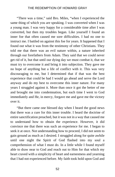"There was a time," said Bro. Miles, "when I experienced the same thing of which you are speaking. I was converted when I was a young man. I was very happy for a considerable time after I was converted, but then my troubles began. Like yourself I found an inner foe that often caused me sore difficulties. I had no one to instruct me. I battled on against this foe for years. It happened that I found out what it was from the testimony of other Christians. They told me that there was an evil nature within, a nature inherited through our forefathers from Adam. They said that we could never get rid of it, but that until our dying day we must combat it, that we must try to overcome it and bring it into subjection. They gave me no hope of anything but a life of conflict with it. This was very discouraging to me, but I determined that if that was the best experience that could be had I would go ahead and serve the Lord anyway and do my best to overcome this inner nature. For many years I struggled against it. More than once it got the better of me and brought me into condemnation, but each time I went to God immediately and He, in mercy, forgave me and gave me the victory over it.

"But there came one blessed day when I heard the good news that there was a cure for this inner trouble. I heard the doctrine of entire sanctification preached, but it was not in a way that caused me to understand how to obtain the experience. However, it did convince me that there was such an experience for me. I began to seek it at once. Not understanding how to proceed, I did not seem to gain ground as much as I desired. I struggled along for quite awhile until one night the Spirit of God flashed into my soul a comprehension of what I must do. In a little while I found myself able to draw near to God and reach out to Him for that which my heart craved with a simplicity of heart and earnestness and yearning that I had not experienced before. My faith took hold upon God and

52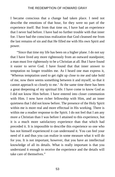I became conscious that a change had taken place. I need not describe the emotions of that hour, for they were no part of the experience itself. But from that time on, I have had an experience that I never had before. I have had no further trouble with that inner foe. I have had the conscious realization that God cleansed me from the last remains of sin and that He filled me with His own Spirit and power.

"Since that time my life has been on a higher plane. I do not say that I have lived any more righteously from an outward standpoint; a man must live righteously to be a Christian at all. But I have found it easier to serve God. I have found that that inner answer to temptation no longer troubles me. As I heard one man express it, 'Whereas temptation used to get right up close to me and take hold of me, now there seems something between it and myself, so that it cannot approach so closely to me.' At the same time there has been a great deepening of my spiritual life. I have come to know God as I did not know Him before. I have entered into closer communion with Him. I now have richer fellowship with Him, and an inner quietness that I did not know before. The presence of the Holy Spirit within me is more real and more effectual in His working. There is within me a readier response to the Spirit. I do not feel that I am any more a Christian than I was before I attained to this experience, but it is a much more satisfactory experience than that which had preceded it. It is impossible to describe this experience so one who has not himself experienced it can understand it. You can feel your need of it and thus you can realize in some measure what it will do for you. It is not important, however, that you have an intellectual knowledge of all its details. What is really important is that you understand it enough to receive the experience and the details will take care of themselves."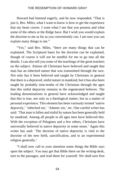Howard had listened eagerly, and he now responded, "That is just it, Bro. Miles, what I want to know is how to get the experience that my heart craves. I want what I see that you possess and what some of the others at the Ridge have. But I wish you would explain the doctrine to me as far as you conveniently can. I am sure you can explain many things to me."

"Yes," said Bro. Miles, "there are many things that can be explained. The Scriptural basis for the doctrine can be explained, though of course it will not be needful for me to go into all the details. I can also tell you some of the teachings of the great teachers on the subject. Almost all Christians have believed and taught that man has an inherited nature that was transmitted through the race. Not only has it been believed and taught by Christians in general that there is a depraved, sinful nature in mankind, but it has also been taught by probably nine-tenths of the Christians through the ages that this sinful depravity remains in the regenerated believer. The leading denominations in general have acknowledged and taught that this is true, not only as a theological matter, but as a matter of personal experience. This element has been variously termed 'native depravity,' 'inherited sin,' 'Adamic sin,' etc. One careful writer has said: 'That man is fallen and sinful by nature has been generally held by mankind. Among all people in all ages men have believed this. With the exception of Pelagians and a few others, Christians have universally believed in native depravity in some sense.' Again this writer has said: 'The doctrine of native depravity is vital to the doctrine of the new birth, sanctification, and to an experimental religion generally.'

"I shall now call to your attention some things the Bible says upon the subject. You may get that Bible there on the writing-desk, turn to the passages, and read them for yourself. We shall turn first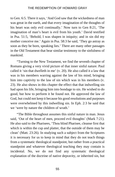to Gen. 6:5. There it says, 'And God saw that the wickedness of man was great in the earth, and that every imagination of the thoughts of his heart was only evil continually.' Now turn to Gen 8:21, 'The imagination of man's heart is evil from his youth.' David testified in Psa. 51:5, 'Behold, I was shapen in iniquity; and in sin did my mother conceive me.' Again in Psa. 58:3 he said, 'They go astray as soon as they be born, speaking lies.' There are many other passages in the Old Testament that bear similar testimony to the sinfulness of mankind.

"Turning to the New Testament, we find the seventh chapter of Romans giving a very vivid picture of that inner sinful nature. Paul called it 'sin that dwelleth in me' (v. 20). He also called it a law that was in his members warring against the law of his mind, bringing him into captivity to the law of sin which was in his members (v. 23). He also shows in this chapter the effect that that indwelling sin had upon his life, bringing him into bondage to sin. He wished to do good, but how to perform it he found not. He approved the law of God, but could not keep it because his good resolutions and purposes were overwhelmed by this indwelling sin. In Eph. 2:3 he said that we 'were by nature the children of wrath.'

"The Bible throughout assumes this sinful nature in man. Jesus said, 'Out of the heart of men, proceed evil thoughts' (Mark 7:21). He also said to the Pharisees, 'Thou blind Pharisee, cleanse first that which is within the cup and platter, that the outside of them may be clean' (Matt. 23:26). In studying such a subject from the Scriptures it is necessary for us to keep in mind that they do not teach things from a systematic theological standpoint, but rather from a practical standpoint and whatever theological teaching they may contain is incidental. No, we do not find any systematic theological explanation of the doctrine of native depravity, or inherited sin, but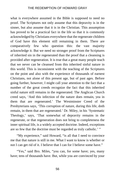what is everywhere assumed in the Bible is supposed to need no proof. The Scriptures not only assume that this depravity is in the sinner, but also assume that it is in the Christian. This assumption has proved to be a practical fact in the life so that it is commonly acknowledged by Christians everywhere that the regenerate children of God have this element still remaining in them. There are comparatively few who question this: the vast majority acknowledge it. But we need no stronger proof from the Scriptures of inherited sin in the regenerated than the proof that a cleansing is provided after regeneration. It is true that a great many people teach that we never can be cleansed from this inherited sinful nature in this world. This is inconsistent with the teaching of the Scriptures on the point and also with the experience of thousands of earnest Christians, not alone of this present age, but of past ages. Before going further, however, I might call your attention to the fact that a number of the great creeds recognize the fact that this inherited sinful nature still remains in the regenerated. The Anglican Church creed says, 'And this infection of the nature does remain, yea in them that are regenerated.' The Westminster Creed of the Presbyterians says, 'This corruption of nature, during this life, doth remain, in them that are regenerated.' Dr. Miley, in his 'Systematic Theology,' says, 'That somewhat of depravity remains in the regenerate, or that regeneration does not bring to completeness the inner spiritual life, is a widely accepted doctrine. Indeed, exceptions are so few that the doctrine must be regarded as truly catholic.' "

"My experience," said Howard, "is all that I need to convince me that that nature is still in me. What I want to know is whether or not I can get rid of it. I believe that I can for I believe some have."

"Yes," said Bro. Miles, "you can, for some have; yes, many have; tens of thousands have. But, while you are convinced by your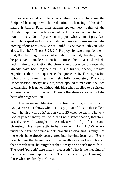own experience, it will be a good thing for you to know the Scriptural basis upon which the doctrine of cleansing of this sinful nature is based. Paul, after having spoken very highly of the Christian experience and conduct of the Thessalonians, said to them: 'And the very God of peace sanctify you wholly; and I pray God your whole spirit and soul and body be preserved blameless unto the coming of our Lord Jesus Christ. Faithful is he that calleth you, who also will do it.' (1 Thess. 5:23, 24). He prays for two things for them: first, that they might be sanctified wholly; second, that they might be preserved blameless. Then he promises them that God will do both. Entire sanctification, therefore, is an experience for those who already have been regenerated. It is a higher, deeper, broader experience than the experience that precedes it. The expression 'wholly' in this text means entirely, fully, completely. The word 'sanctification' always has in it, when applied to mankind, the idea of cleansing. It is never without this idea when applied to a spiritual experience as it is in this text. There is therefore a cleansing of the heart after regeneration.

"This entire sanctification, or entire cleansing, is the work of God, as verse 24 shows when Paul says, 'Faithful is he that calleth you, who also will do it,' and in verse 23 when he says, 'The very God of peace sanctify you wholly.' Entire sanctification, therefore, is a divine work wrought in the soul, a work of purification and cleansing. This is perfectly in harmony with John 15:1-6, where under the figure of a vine and its branches a cleansing is taught for those who have already been grafted into the vine. Jesus said, 'Every branch in me that beareth not fruit he taketh away: and every branch that beareth fruit, he purgeth it that it may bring forth more fruit.' The word 'purgeth' here means 'cleanseth.' That is the meaning of the original term employed here. There is, therefore, a cleansing of those who are already in Christ.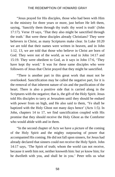"Jesus prayed for His disciples, those who had been with Him in the ministry for three years or more, just before He left them, saying, 'Sanctify them through thy truth: thy word is truth' (John 17:17). Verse 19 says, 'That they also might be sanctified through the truth.' But were these disciples already Christians? They were believers in Christ, as many Scriptures make clear. In Luke 10:20 we are told that their names were written in heaven, and in John 1:12, 13, we are told that those who believe in Christ are born of God. They were not of the world, as we read in John 14:17 and 15:19. They were obedient to God, as it says in John 17:6, 'They have kept thy word.' It was for these same disciples who were followers of Jesus that Christ prayed that they might be sanctified.

"There is another part in this great work that must not be overlooked. Sanctification may be called the negative part, for it is the removal of that inherent nature of sin and the purification of the heart. There is also a positive side that is carried along in the Scriptures with the negative; that is, the gift of the Holy Spirit. Jesus told His disciples to tarry at Jerusalem until they should be endued with power from on high, and He also said to them, 'Ye shall be baptized with the Holy Ghost not many days hence' (Acts 1:5). In John, chapters 14 to 17, we find sanctification coupled with His promise that they should receive the Holy Ghost as the Comforter who would abide with and in them.

"In the second chapter of Acts we have a picture of the coming of the Holy Spirit and the mighty outpouring of power that accompanied His coming. He did not fall upon sinners, for Jesus had already declared that sinners could not receive the Holy Spirit. John 14:17 says, 'The Spirit of truth; whom the world can not receive, because it seeth him not, neither knoweth him: but ye know him; for he dwelleth with you, and shall be in you.' Peter tells us what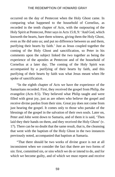occurred on the day of Pentecost when the Holy Ghost came. In comparing what happened to the household of Cornelius, as recorded in the tenth chapter of Acts, with the outpouring of the Holy Spirit at Pentecost, Peter says in Acts 15:8, 9: 'And God, which knoweth the hearts, bare them witness, giving them the Holy Ghost, even as He did unto us; and put no difference between us and them, purifying their hearts by faith.' Just as Jesus coupled together the coming of the Holy Ghost and sanctification, so Peter in his comments upon the subject linked the two together as being the experience of the apostles at Pentecost and of the household of Cornelius at a later day. The coming of the Holy Spirit was accompanied by a purifying of their hearts by faith, and this purifying of their hearts by faith was what Jesus meant when He spoke of sanctification.

"In the eighth chapter of Acts we have the experience of the Samaritans recorded. First, they received the gospel from Philip, the evangelist (Acts 8:5). They believed what Philip taught and were filled with great joy, just as are others who believe the gospel and receive divine pardon from their sins. Great joy does not come from just hearing the gospel. It comes only to those who partake of the blessings of the gospel in the salvation of their own souls. Later on, Peter and John went down to Samaria, and of them it is said, 'Then laid they their hands on them, and they received the Holy Ghost' (v. 17). There can be no doubt that the same result, that is, the cleansing that went with the baptism of the Holy Ghost in the two instances previously noted, accompanied that baptism at Samaria.

"That there should be two works of divine grace is not at all inconsistent when we consider the fact that there are two forms of sin: first, committed sin, or sins which we do or intend to do, and for which we become guilty, and of which we must repent and receive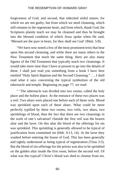forgiveness of God; and second, that inherited sinful nature, for which we are not guilty, but from which we need cleansing, which still remains in the regenerate heart, and from which, thank God, the Scriptures plainly teach we may be cleansed and thus be brought into the blessed condition of which Jesus spoke when He said, 'Blessed are the pure in heart, for they shall see God' (Matt. 5:8).

"We have now noted a few of the most prominent texts that bear upon this second cleansing, and while there are many others in the New Testament that teach the same thing, there are also many figures of the Old Testament that typically teach two cleansings. It would take more time than I have at present to go into the details of these. I shall just read you something from a book I have here entitled "Holy Spirit Baptism and the Second Cleansing." . . . I shall read what it says concerning the typical symbolism of the old tabernacle and temple. Beginning on page 77, we read:

" 'The tabernacle was divided into two rooms, called the holy place and the holiest place. At the entrance of these two places was a veil. Two altars were placed one before each of these veils. Blood was sprinkled upon each of these altars. What could be more perfectly typified by these two rooms, two veils, two altars, two sprinklings of blood, than the fact that there are two cleansings in the work of one's salvation? Outside the first veil was the brazen altar and the laver. On this altar the blood of the offerings for sin was sprinkled. This sprinkling is generally allowed to be typical of justification from committed sin (Heb. 9:13, 14). At the laver they washed before entering the house of God. This has been generally and rightly understood as being typical of regeneration (Titus 3:5). But the blood of sin-offerings for the priests was also to be sprinkled on the golden altar inside the first room, before the second veil. Of what was this typical? Christ's blood was shed to cleanse from sin.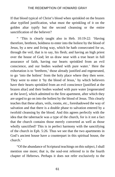If that blood typical of Christ's blood when sprinkled on the brazen altar typified justification, what must the sprinkling of it on the golden altar typify but the second cleansing or the entire sanctification of the believer?

This is clearly taught also in Heb. 10:19-22: 'Having' therefore, brethren, boldness to enter into the holiest by the blood of Jesus, by a new and living way, which he hath consecrated for us, through the veil, that is to say, his flesh; and having an high priest over the house of God; let us draw near with a true heart in full assurance of faith, having our hearts sprinkled from an evil conscience, and our bodies washed with pure water.' Here the exhortation is to 'brethren,' those already justified and regenerated, to go 'into the holiest' from the holy place where they then were. They were to enter it 'by the blood of Jesus,' by which believers have their hearts sprinkled from an evil conscience [justified at the brazen altar] and their bodies washed with pure water [regenerated at the laver], which admitted to the first apartment, after which they are urged to go on into the holiest by the blood of Jesus. This clearly teaches that these altars, veils, rooms, etc., foreshadowed the way of salvation and that there is a double phase to salvation entered by a twofold cleansing by the blood. And this agrees perfectly with the idea that the tabernacle was a type of the church, for is it not a fact that the church contains those merely converted as well as those wholly sanctified? This is in perfect harmony with the sanctifying of the church in Eph. 5:26. Thus we see that the two apartments in God's ancient house have a counterpart in this spiritual house, the church.'

"Of the abundance of Scriptural teachings on this subject, I shall mention one more; that is, the soul-rest referred to in the fourth chapter of Hebrews. Perhaps it does not refer exclusively to the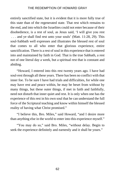entirely sanctified state, but it is evident that it is more fully true of this state than of the regenerated state. That rest which remains to the end, and into which the Israelites could not enter because of their disobedience, is a rest of soul, as Jesus said, 'I will give you rest . . . and ye shall find rest unto your souls' (Matt. 11:28, 29). This soul-Sabbath well expresses and illustrates the blessed rest of soul that comes to all who enter that glorious experience, entire sanctification. There is a rest of soul in this experience that is entered into and maintained by faith in God. That is the true Sabbath, a rest not of one literal day a week, but a spiritual rest that is constant and abiding.

"Howard, I entered into this rest twenty years ago. I have had soul-rest through all these years. There has been no conflict with that inner foe. To be sure I have had trials and difficulties, for while one may have rest and peace within, he may be beset from without by many things, but these outer things, if met in faith and faithfully, need not disturb that inner quiet and rest. It is only when one has the experience of this rest in his own soul that he can understand the full force of the Scriptural teaching and know within himself the blessed reality of having what Christ promised."

"I believe this, Bro. Miles," said Howard, "and I desire more than anything else in the world to enter into this experience myself."

"You may do so," said Bro. Miles, "without delay. Begin to seek the experience definitely and earnestly and it shall be yours."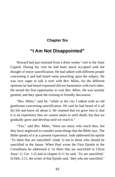# **Chapter Six**

# **"I Am Not Disappointed"**

Howard had just returned from a three weeks' visit to the State Capitol. During his visit he had been much occupied with the thought of entire sanctification. He had talked with different people concerning it and had heard some preaching upon the subject. He was very eager to talk it over with Bro. Miles, for the different opinions he had heard expressed did not harmonize with each other. He seized the first opportunity to visit Bro. Miles. He was warmly greeted, and they spent the evening in friendly discussion.

"Bro. Miles," said he, "while in the city I talked with an old gentleman concerning sanctification. He said he had heard of it all his life and knew all about it. He claimed that we grow into it; that it is an experience that we cannot attain to until death, but that we gradually grow and develop until we reach it."

"Yes," said Bro. Miles, "there are many who teach thus, but they have neglected to consider some things that the Bible says. The Bible speaks of it as a present experience. Jude addressed his epistle 'To them that are sanctified' (Jude 1) not to those who should be sanctified in the future. When Paul wrote the First Epistle to the Corinthians he addressed it 'to them that are sanctified in Christ Jesus' (1 Cor. 1:2) and in chapter 6:11 he said, 'Ye are sanctified.' In Heb. 2:11, the writer of that Epistle said, 'they who are sanctified.'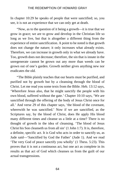In chapter 10:29 he speaks of people that were sanctified; so, you see, it is not an experience that we can only get at death.

"Now, as to the question of it being a growth—it is true that we grow in grace; we are to grow and develop in the Christian life so long as we live, but that is altogether a different thing from the experience of entire sanctification. A point to be noted is that growth does not change the nature; it only increases what already exists. Therefore, we can increase in growth only in what we already have. Too, growth does not decrease; therefore, the sin that is innate in the unregenerate cannot be grown out any more than weeds can be grown out of one's garden. Growth neither gives anything new nor eradicates the old.

"The Bible plainly teaches that our hearts must be purified, and purified not by growth but by a cleansing through the blood of Christ. Let me read you some texts from the Bible. Heb. 13:12 says, 'Wherefore Jesus also, that he might sanctify the people with his own blood, suffered without the gate.' Chapter 10:10 says, 'We are sanctified through the offering of the body of Jesus Christ once for all.' And verse 29 of this chapter says, 'the blood of the covenant, wherewith he was sanctified.' Now if we are sanctified, as the Scriptures say, by the blood of Christ, does He apply His blood many different times and cleanse us a little at a time? There is no thought of growth in the idea of cleansing. 'The blood of Jesus Christ his Son cleanseth us from all sin' (1 John 1:7). It is, therefore, a definite, specific act. It is God who acts in order to sanctify us, as Jude said—'Sanctified by God the Father' (Jude 1). And we read 'The very God of peace sanctify you wholly' (1 Thess. 5:23). This proves that it is not a continuous act, but one act as complete in its results as that act of God which cleanses us from the guilt of our actual transgressions.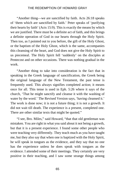"Another thing—we are sanctified by faith. Acts 26:18 speaks of 'them which are sanctified by faith.' Peter speaks of 'purifying their hearts by faith' (Acts 15:9). This is exactly the means by which we are justified. There must be a definite act of faith, and this brings a definite operation of God in our hearts through the Holy Spirit. Then too, as I pointed out to you before, the gift of the Holy Ghost, or the baptism of the Holy Ghost, which is the same, accompanies this cleansing of the heart, and God does not give the Holy Spirit to us piecemeal. The Holy Spirit fell 'suddenly' on the disciples at Pentecost and on other occasions. There was nothing gradual in the work.

"Another thing to take into consideration is the fact that in speaking in the Greek language of sanctification, the Greek being the original language of the New Testament, the past tense is frequently used. This always signifies completed action; it means once for all. This tense is used in Eph. 5:26 where it says of the church, 'That he might sanctify and cleanse it with the washing of water by the word.' The Revised Version says, 'having cleansed it.' The work is done now; it is not a future thing; it is not a growth. It did not wait till death. The experience is a present, completed one. There are other similar texts that might be quoted."

"I see, Bro. Miles," said Howard, "that that old gentleman was mistaken. You are right in what you said about it not being a growth, but that it is a present experience. I found some other people who were teaching very differently. They teach much as you have taught me, but they also say that when one is baptized with the Holy Spirit, he will speak in tongues as the evidence, and they say that no one has the experience unless he does speak with tongues as the evidence. I attended some of their meetings. They certainly are very positive in their teaching, and I saw some strange things among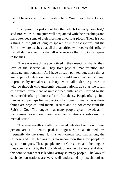them. I have some of their literature here. Would you like to look at  $i$ f?"

"I suppose it is just about like that which I already have had," said Bro. Miles. "I am quite well acquainted with their teachings and have attended some of their meetings at various places. There is such a thing as the gift of tongues spoken of in the Scriptures, but the Bible nowhere teaches that all the sanctified will receive this gift, or that all did receive it, or that all who receive the Holy Ghost speak in tongues.

"There was one thing you noticed in their meetings; that is, their love of the spectacular. They love physical manifestation and cultivate emotionalism. As I have already pointed out, these things are no part of salvation. Giving way to wild emotionalism is bound to produce hysterical results. People who 'fall under the power,' or who go through wild unseemly demonstrations, do so as the result of physical excitement of unrestrained enthusiasm. Carried to the extreme this often produces a form of catalepsy. People often go into trances and perhaps lie unconscious for hours. In many cases these things are physical and mental results and do not come from the Spirit of God. The tongues that many people speak nowadays, in many instances no doubt, are mere manifestations of subconscious mental action.

"The same results are often produced outside of religion. Insane persons are said often to speak in tongues. Spiritualistic mediums frequently do the same. It is a well-known fact that among the Chinese and East Indians it is no uncommon thing for people to speak in tongues. These people are not Christians, and the tongues they speak are not by the Holy Ghost. So we need to be careful about this tongue craze that is leading astray so many people. The laws of such demonstrations are very well understood by psychologists.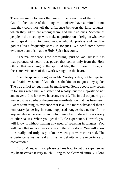There are many tongues that are not the operation of the Spirit of God. In fact, some of the 'tongues' ministers have admitted to me that they could not tell the difference between the false tongues, which they admit are among them, and the true ones. Sometimes people in the meetings who make no profession of religion whatever go to speaking in tongues. People who do profess and yet live godless lives frequently speak in tongues. We need some better evidence than this that the Holy Spirit has come.

"The real evidence is the indwelling Spirit of God Himself. It is that pureness of heart; that power that comes only from the Holy Ghost; that enriching of the spiritual life; the fullness of love; all these are evidences of this work wrought in the heart.

"People spoke in tongues in Mr. Wesley's day, but he rejected it and said it was not of God; that is, the kind of tongues they spoke. The true gift of tongues may be manifested. Some people may speak in tongues when they are sanctified wholly, but the majority do not and never did so far as we have any record. The initial outpouring at Pentecost was perhaps the greatest manifestation that has been seen. I want something as evidence that is a little more substantial than a temporary jabbering in some supposed tongue that neither I nor anyone else understands, and which may be produced by a variety of other causes. When you get the Bible experience, Howard, you will know it without having any need of speaking in tongues. You will have that inner consciousness of the work done. You will know it as really and truly as you knew when you were converted. The experience is just as real and just as definite as the experience of conversion."

"Bro. Miles, will you please tell me how to get the experience? My heart craves it very much. I long to be cleansed entirely. I long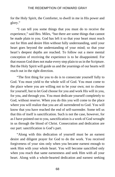for the Holy Spirit, the Comforter, to dwell in me in His power and glory."

"I can tell you some things that you must do to receive the experience," said Bro. Miles, "but there are some things that cannot be made plain to you. God has left it so that your heart must reach out for Him and desire Him without fully understanding, until your heart goes beyond the understanding of your mind; so that your heart's deepest depths are reached. To follow out a mere mental conception of receiving the experience is to be disappointed. For that reason God does not make every step plain to us in the Scripture. But the Holy Spirit will guide us and the yearnings of our hearts will reach out in the right direction.

"The first thing for you to do is to consecrate yourself fully to God. You must yield to the whole will of God. You must come to the place where you are willing not to be your own; not to choose for yourself, but to let God choose for you and work His will in you, for you, and through you. You must dedicate yourself completely to God, without reserve. When you do this you will come to the place where you will realize that you are all surrendered to God. You will know that you have reached the end of self-surrender. Some tell us that this of itself is sanctification. Such is not the case, however, for as I have pointed out to you, sanctification is a work of God wrought in us through the blood of Christ. Consecration and dedication are our part: sanctification is God's part.

"Along with this dedication of yourself must be an earnest desire and diligent prayer for God to do the work. You received forgiveness of your sins only when you became earnest enough to seek Him with your whole heart. You will become sanctified only when you reach that same earnestness and seek Him with all your heart. Along with a whole-hearted dedication and earnest seeking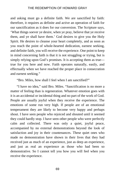and asking must go a definite faith. We are sanctified by faith: therefore, it requires as definite and active an operation of faith for our sanctification as it does for our conversion. The Scripture says, 'What things soever ye desire, when ye pray, believe that ye receive them, and ye shall have them.' God desires to give you the Holy Spirit. He desires to cleanse your heart completely, and as soon as you reach the point of whole-hearted dedication, earnest seeking, and definite faith, you will receive the experience. One point to keep in mind concerning faith is that it is not struggling or trying, but is simply relying upon God's promises. It is accepting them as true true for you here and now. Faith operates naturally, easily, and effectually when we have reached the proper place in consecration and earnest seeking."

"Bro. Miles, how shall I feel when I am sanctified?"

"I have no idea," said Bro. Miles. "Sanctification is no more a matter of feeling than is regeneration. Whatever emotion goes with it is an accidental or incidental thing and no part of the work of God. People are usually joyful when they receive the experience. The emotions of some run very high. If people are of an emotional temperament they are likely to become very happy and perhaps shout. I have seen people who rejoiced and shouted until it seemed they could hardly stop. I have seen other people who were perfectly calm and collected. There was only a quiet, joyful peace, accompanied by no external demonstrations beyond the look of satisfaction and joy in their countenances. These quiet ones who made no demonstration have shown in their lives that they had received just as much of an experience, just as deep an experience, and just as real an experience as those who had been so demonstrative. So I cannot tell you how you will feel when you receive the experience.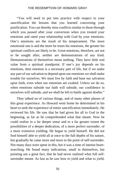"You will need to put into practice with respect to your sanctification the lessons that you learned concerning your justification. You can thereby miss conflicts similar to those through which you passed after your conversion when you trusted your emotions and rated your relationship with God by your emotions. One's emotions are the result of his temperament. The more emotional one is and the more he trusts his emotions, the greater his spiritual conflicts are likely to be. Great emotions, therefore, are not to be sought after; neither are demonstrations of any kind. Demonstrations of themselves mean nothing. They have little real value from a spiritual standpoint. If one's joy depends on his emotions, then emotion is a necessary part of life, but if we make any part of our salvation to depend upon our emotions we shall make trouble for ourselves. We must live by faith and base our salvation upon faith, even when our emotions are exalted. Unless we do so, when emotions subside our faith will subside, our confidence in ourselves will subside, and we shall be left to battle against doubts."

They talked on of various things, and of many other phases of this great experience. As Howard went home he determined in his heart to seek the experience of entire sanctification immediately. He reviewed his life. He saw that he had given his all to God in the beginning, as far as he comprehended what that meant. Now he could realize in a far deeper sense and to a far greater extent the possibilities of a deeper dedication, of a more perfect surrender, of a more extensive yielding. He began to yield himself. He did not find himself able to yield all at once to the full depths of his nature, but gradually he came more and more to the point of self-surrender. Not many days were spent in this, but it was a time of intense heartsearching. He found many indications, small in themselves, but pointing out a great fact, that he had never realized what full selfsurrender meant. As fast as he saw how to yield and what to yield,

70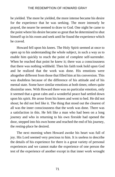he yielded. The more he yielded, the more intense became his desire for the experience that he was seeking. The more intensely he prayed, the nearer he seemed to draw to God. One night he came to the point where his desire became so great that he determined to shut himself up in his room and seek until he found the experience which he craved.

Howard fell upon his knees. The Holy Spirit seemed at once to open up to his understanding the whole subject, in such a way as to enable him quickly to reach the point of complete self-surrender. When he reached that point he knew it; there was a consciousness that there was nothing withheld. Then his faith took hold upon God and he realized that the work was done. His emotions were altogether different from those that filled him at his conversion. This was doubtless because of the difference of his attitude and of his mental state. Some have similar emotions at both times; others quite dissimilar ones. With Howard there was no particular emotion, only it seemed that a great calm and a wonderful peace had settled down upon his spirit. He arose from his knees and went to bed. He did not shout; he did not feel like it. The thing that stood out the clearest of all was the inner consciousness that the work was done. There was a satisfaction in this. He felt like a man who had been on a long journey and who in returning to his own fireside had opened the door, stepped into his own home and reached the end of his journey, the resting-place he desired.

The next morning when Howard awoke his heart was full of joy. His Lord seemed very precious to him. It is useless to describe the details of his experience for there is a great variety of personal experiences and we cannot make the experience of one person the test of the experience of another except in that inner work wrought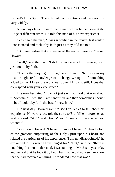by God's Holy Spirit. The external manifestations and the emotions vary widely.

A few days later Howard met a man whom he had seen at the Ridge at different times. He told this man of his new experience.

"Yes," said the man, "I was sanctified in the revival last winter. I consecrated and took it by faith just as they told me to."

"Did you realize that you received the real experience?" asked Howard.

"Well," said the man, "I did not notice much difference, but I just took it by faith."

"That is the way I got it, too," said Howard, "but faith in my case brought real knowledge of a change wrought, of something added to me. I knew the work was done; I know it still. Does that correspond with your experience?"

The man hesitated. "I cannot just say that I feel that way about it. Sometimes I feel that I am sanctified, and then sometimes I doubt it, but I took it by faith the best I knew how."

The next day Howard went to see Bro. Miles to tell about his experience. Howard's face told the story to Bro. Miles before he had said a word. "Ah!" said Bro. Miles, "I see you have what you wanted."

"Yes," said Howard, "I have it. I know I have it." Then he told of the gracious outpouring of the Holy Spirit upon his heart and related the particulars of his experience. "I am not disappointed," he exclaimed. "It is what I have longed for." "But," said he, "there is one thing I cannot understand. I was talking to Mr. Jason yesterday and he said that he took it by faith, but that he did not seem to know that he had received anything. I wondered how that was."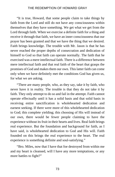"It is true, Howard, that some people claim to take things by faith from the Lord and still do not have any consciousness within themselves that they have something. We get what we get from the Lord through faith. When we exercise a definite faith for a thing and receive it through that faith, we have an inner consciousness that our prayer has been granted and that we have the thing that we desired. Faith brings knowledge. The trouble with Mr. Jason is that he has never reached the proper depths of consecration and dedication of himself to God so that faith can operate normally. The faith that he exercised was a mere intellectual faith. There is a difference between mere intellectual faith and that real faith of the heart that grasps the promises of God and makes them our own. This latter faith can come only when we have definitely met the conditions God has given us, for what we are asking.

"There are many people, who, as they say, take it by faith, who never have it in reality. The trouble is that they do not take it by faith. They only attempt to do so and fail in the attempt. Faith cannot operate effectually until it has a solid basis and that solid basis in receiving entire sanctification is wholehearted dedication and earnest seeking. If there were more of this wholehearted dedication to God; this complete yielding; this choosing of His will instead of our own, there would be fewer people claiming to have the experience without its fruit in their hearts and lives. Real faith brings real experience. But the foundation and background for faith, as I have said, is wholehearted dedication to God and His will. Faith founded on this brings the real experience to the heart. The real experience is something definite and soul-satisfying."

"Bro. Miles, now that I have that foe destroyed from within me and my heart is cleansed, will I have any more temptations, or any more battles to fight?"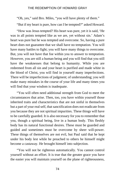"Oh, yes," said Bro. Miles, "you will have plenty of them."

"But if my heart is pure, how can I be tempted?" asked Howard.

"How was Jesus tempted? His heart was pure, yet it is said, 'He was in all points tempted like as we are, yet without sin.' Adam's heart was pure but he was tempted and overcome. So, having a pure heart does not guarantee that we shall have no temptation. You will have many battles to fight; you will have many things to overcome. But, you will not have that foe within you to answer to temptation. However, you are still a human being and you will find that you still have the weaknesses that belong to humanity. While you are redeemed from all sin and your heart is purified and made white in the blood of Christ, you will find in yourself many imperfections. There will be imperfections of judgment; of understanding; you will make many mistakes in the course of your life and many times you will find that your wisdom is inadequate.

"You will often need additional strength from God to meet the circumstances that arise. Then, too, you have within yourself those inherited traits and characteristics that are not sinful in themselves but a part of your real self, that sanctification does not eradicate from you because they are not spiritual impurities. These things will have to be carefully guarded. It is also necessary for you to remember that you, though a spiritual being, live in a human body. This fleshly body has its natural functional desires. These must be guarded and guided and sometimes must be overcome by sheer will-power. These things of themselves are not evil, but Paul said that he kept under his body lest while he preached to others he himself might become a castaway. He brought himself into subjection.

"You will not be righteous automatically. You cannot control yourself without an effort. It is true that the greater grace you have the easier you will maintain yourself on the plane of righteousness,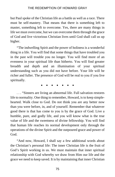but Paul spoke of the Christian life as a battle as well as a race. There must be self-mastery. That means that there is something left to master, something left to overcome. Yes, there are many things in life we must overcome, but we can overcome them through the grace of God and live victorious Christian lives until God shall call us up higher.

"The indwelling Spirit and the power of holiness is a wonderful thing in a life. You will find that some things that have troubled you in the past will trouble you no longer. You will find more of an evenness in your spiritual life than hitherto. You will find greater breadth and depth and an illumination of your spiritual understanding such as you did not have before. Your life will be richer and fuller. The presence of God will be real to you if you live spiritually.

**∙ ∙ ∙ ∙ ∙ ∙ ∙**

. . . "Sinners are living an abnormal life. Full salvation restores life to normality. One thing to remember, Howard, is to keep simplehearted. Walk close to God. Do not think you are any better now than you were before, in, and of yourself. Remember that whatever good there is that has come to you is by the grace of God. Live a humble, pure, and godly life, and you will know what is the true value of life and the sweetness of divine fellowship. You will find that human life reaches its normal development only through the operations of the divine Spirit and the outpoured grace and power of God.

"And now, Howard, I shall say a few additional words about the Christian's personal life: The inner Christian life is the fruit of God's Spirit working in us. We must maintain that inner spiritual relationship with God whereby we draw from Him our life and the grace we need to keep saved. It is by maintaining that inner Christian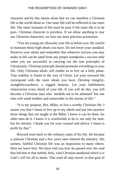character and by this means alone that we can manifest a Christian life to the world about us. Our inner life will be reflected in our outer life. The inner fountain of life must be pure if the outer life is to be pure. Christian character is priceless. If we allow anything to mar our Christian characters, we lose our most precious possession.

"You are young yet, Howard; your life is before you. Be careful to maintain those high ideals you have. Do not lower your standard. Preserve your ideals and remember that whatever success you may make in life can be rated from any proper standpoint a success only when you are successful in carrying out the true principles of Christianity. Christian principle should permeate everything in your life. Only Christian ideals will enable us to live on a lofty plane. True nobility is found in the way of Christ. Let your outward life correspond with the inner ideals you have. Develop integrity, straightforwardness, a rugged honesty. Let your faithfulness characterize every detail of your life. If you will do this, you will become a Christian man who 'needeth not to be ashamed' but one who will stand stedfast and unmovable in the storms of life."

"It is my purpose, Bro. Miles, to live a worthy Christian life. I assure you that I mean to live up to my ideals and put into practice those things that are taught in the Bible. I know it can be done, for other men do it. I know it is worthwhile to do it, not only for time, but for eternity. I thank you for your counsel and advice. I mean to profit by that."

Howard went back to the ordinary tasks of his life. He became a stalwart Christian and a few years later entered the ministry. His earnest, faithful Christian life was an inspiration to many others. Here we leave him. We have told you how he passed over the road that led him to that settled, holy, vital Christian manhood which it is God's will for all to attain. That road all may travel; to that goal of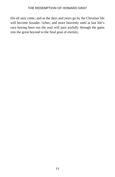life all may come, and as the days and years go by the Christian life will become broader, richer, and more heavenly until at last life's race having been run the soul will pass joyfully through the gates into the great beyond to the final goal of eternity.